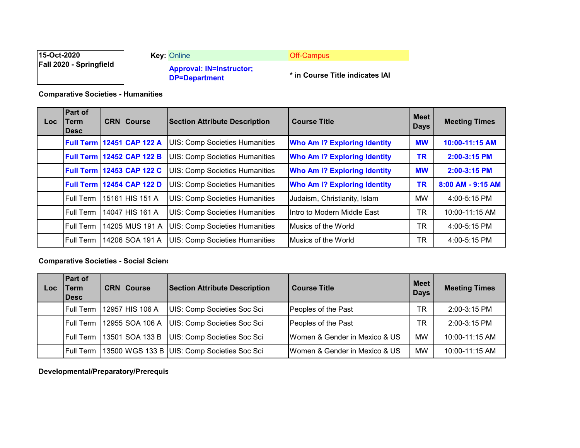| 15-Oct-2020                    | <b>Key: Online</b>                                      | <b>Off-Campus</b>               |
|--------------------------------|---------------------------------------------------------|---------------------------------|
| <b>Fall 2020 - Springfield</b> | <b>Approval: IN=Instructor;</b><br><b>DP=Department</b> | * in Course Title indicates IAI |

**Comparative Societies - Humanities**

| Loc. | <b>Part of</b><br>Term<br><b>IDesc</b> | <b>CRN Course</b>                | <b>Section Attribute Description</b>  | <b>Course Title</b>                 | <b>Meet</b><br><b>Days</b> | <b>Meeting Times</b> |
|------|----------------------------------------|----------------------------------|---------------------------------------|-------------------------------------|----------------------------|----------------------|
|      |                                        | <b>Full Term 12451 CAP 122 A</b> | <b>UIS: Comp Societies Humanities</b> | <b>Who Am I? Exploring Identity</b> | <b>MW</b>                  | 10:00-11:15 AM       |
|      | <b>Full Term</b>                       | 12452 CAP 122 B                  | <b>UIS: Comp Societies Humanities</b> | <b>Who Am I? Exploring Identity</b> | TR                         | 2:00-3:15 PM         |
|      | <b>Full Term</b>                       | 12453 CAP 122 C                  | <b>UIS: Comp Societies Humanities</b> | <b>Who Am I? Exploring Identity</b> | <b>MW</b>                  | 2:00-3:15 PM         |
|      | <b>Full Term</b>                       | 12454 CAP 122 D                  | <b>UIS: Comp Societies Humanities</b> | <b>Who Am I? Exploring Identity</b> | <b>TR</b>                  | 8:00 AM - 9:15 AM    |
|      | <b>Full Term</b>                       | 15161 HIS 151 A                  | <b>UIS: Comp Societies Humanities</b> | Judaism, Christianity, Islam        | <b>MW</b>                  | 4:00-5:15 PM         |
|      | <b>Full Term</b>                       | 14047 HIS 161 A                  | <b>UIS: Comp Societies Humanities</b> | Intro to Modern Middle East         | <b>TR</b>                  | 10:00-11:15 AM       |
|      | <b>Full Term</b>                       | 14205 MUS 191 A                  | <b>UIS: Comp Societies Humanities</b> | Musics of the World                 | TR                         | 4:00-5:15 PM         |
|      | <b>Full Term</b>                       | 14206 SOA 191 A                  | <b>UIS: Comp Societies Humanities</b> | <b>Musics of the World</b>          | <b>TR</b>                  | 4:00-5:15 PM         |

## **Comparative Societies - Social Scienc**

| Loc | <b>Part of</b><br>Term<br><b>IDesc</b> | <b>CRN</b> Course | <b>Section Attribute Description</b>        | <b>Course Title</b>           | <b>Meet</b><br><b>Days</b> | <b>Meeting Times</b> |
|-----|----------------------------------------|-------------------|---------------------------------------------|-------------------------------|----------------------------|----------------------|
|     | <b>Full Term</b>                       | 12957 HIS 106 A   | UIS: Comp Societies Soc Sci                 | Peoples of the Past           | ΤR                         | 2:00-3:15 PM         |
|     | <b>Full Term</b>                       | 12955 SOA 106 A   | UIS: Comp Societies Soc Sci                 | Peoples of the Past           | TR                         | $2:00 - 3:15$ PM     |
|     | <b>Full Term</b>                       | 13501 SOA 133 B   | UIS: Comp Societies Soc Sci                 | Women & Gender in Mexico & US | <b>MW</b>                  | 10:00-11:15 AM       |
|     | <b>Full Term</b>                       |                   | 13500 WGS 133 B UIS: Comp Societies Soc Sci | Women & Gender in Mexico & US | МW                         | 10:00-11:15 AM       |

**Developmental/Preparatory/Prerequis**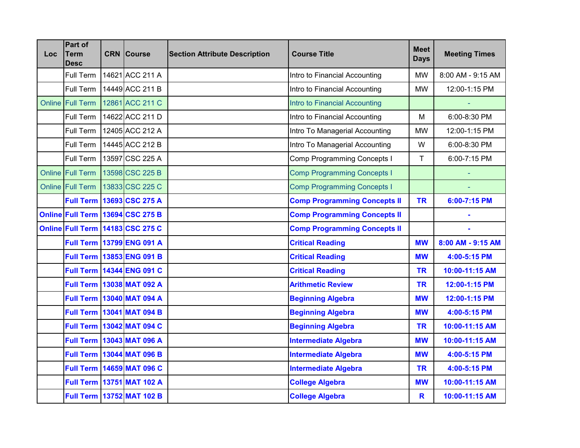| Loc. | Part of<br><b>Term</b><br>Desc | <b>CRN</b> Course                | <b>Section Attribute Description</b> | <b>Course Title</b>                 | <b>Meet</b><br><b>Days</b> | <b>Meeting Times</b> |
|------|--------------------------------|----------------------------------|--------------------------------------|-------------------------------------|----------------------------|----------------------|
|      | Full Term                      | 14621 ACC 211 A                  |                                      | Intro to Financial Accounting       | <b>MW</b>                  | 8:00 AM - 9:15 AM    |
|      | Full Term                      | 14449 ACC 211 B                  |                                      | Intro to Financial Accounting       | <b>MW</b>                  | 12:00-1:15 PM        |
|      | Online Full Term               | 12861 ACC 211 C                  |                                      | Intro to Financial Accounting       |                            |                      |
|      | Full Term                      | 14622 ACC 211 D                  |                                      | Intro to Financial Accounting       | M                          | 6:00-8:30 PM         |
|      | Full Term                      | 12405 ACC 212 A                  |                                      | Intro To Managerial Accounting      | <b>MW</b>                  | 12:00-1:15 PM        |
|      | Full Term                      | 14445 ACC 212 B                  |                                      | Intro To Managerial Accounting      | W                          | 6:00-8:30 PM         |
|      | Full Term                      | 13597 CSC 225 A                  |                                      | <b>Comp Programming Concepts I</b>  | T                          | 6:00-7:15 PM         |
|      | Online Full Term               | 13598 CSC 225 B                  |                                      | <b>Comp Programming Concepts I</b>  |                            |                      |
|      | Online Full Term               | 13833 CSC 225 C                  |                                      | <b>Comp Programming Concepts I</b>  |                            |                      |
|      |                                | <b>Full Term 13693 CSC 275 A</b> |                                      | <b>Comp Programming Concepts II</b> | <b>TR</b>                  | 6:00-7:15 PM         |
|      |                                | Online Full Term 13694 CSC 275 B |                                      | <b>Comp Programming Concepts II</b> |                            |                      |
|      |                                | Online Full Term 14183 CSC 275 C |                                      | <b>Comp Programming Concepts II</b> |                            |                      |
|      |                                | <b>Full Term 13799 ENG 091 A</b> |                                      | <b>Critical Reading</b>             | <b>MW</b>                  | 8:00 AM - 9:15 AM    |
|      |                                | Full Term 13853 ENG 091 B        |                                      | <b>Critical Reading</b>             | <b>MW</b>                  | 4:00-5:15 PM         |
|      |                                | <b>Full Term 14344 ENG 091 C</b> |                                      | <b>Critical Reading</b>             | <b>TR</b>                  | 10:00-11:15 AM       |
|      |                                | Full Term   13038 MAT 092 A      |                                      | <b>Arithmetic Review</b>            | <b>TR</b>                  | 12:00-1:15 PM        |
|      |                                | Full Term 13040 MAT 094 A        |                                      | <b>Beginning Algebra</b>            | <b>MW</b>                  | 12:00-1:15 PM        |
|      |                                | Full Term   13041 MAT 094 B      |                                      | <b>Beginning Algebra</b>            | <b>MW</b>                  | 4:00-5:15 PM         |
|      |                                | Full Term 13042 MAT 094 C        |                                      | <b>Beginning Algebra</b>            | <b>TR</b>                  | 10:00-11:15 AM       |
|      |                                | Full Term 13043 MAT 096 A        |                                      | <b>Intermediate Algebra</b>         | <b>MW</b>                  | 10:00-11:15 AM       |
|      |                                | Full Term 13044 MAT 096 B        |                                      | <b>Intermediate Algebra</b>         | <b>MW</b>                  | 4:00-5:15 PM         |
|      |                                | <b>Full Term 14659 MAT 096 C</b> |                                      | <b>Intermediate Algebra</b>         | <b>TR</b>                  | 4:00-5:15 PM         |
|      |                                | <b>Full Term 13751 MAT 102 A</b> |                                      | <b>College Algebra</b>              | <b>MW</b>                  | 10:00-11:15 AM       |
|      |                                | <b>Full Term 13752 MAT 102 B</b> |                                      | <b>College Algebra</b>              | R                          | 10:00-11:15 AM       |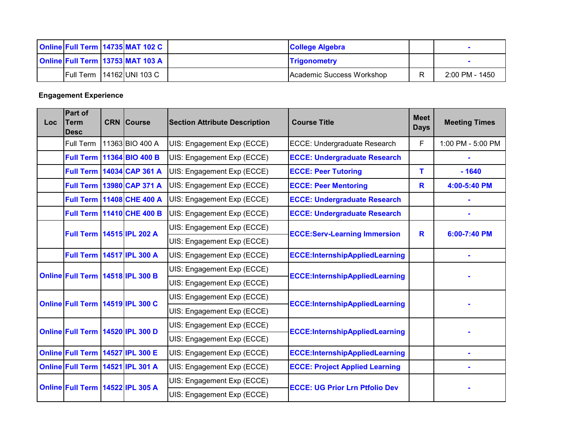|  | <b>Online Full Term 14735 MAT 102 C</b> | <b>College Algebra</b>     |                |
|--|-----------------------------------------|----------------------------|----------------|
|  | <b>Online Full Term 13753 MAT 103 A</b> | <b>Trigonometry</b>        |                |
|  | <b>Full Term 14162 UNI 103 C</b>        | IAcademic Success Workshop | 2:00 PM - 1450 |

## **Engagement Experience**

| <b>Loc</b> | Part of<br><b>Term</b><br><b>Desc</b> |  | <b>CRN</b> Course                | <b>Section Attribute Description</b> | <b>Course Title</b>                   | <b>Meet</b><br><b>Days</b> | <b>Meeting Times</b>                |   |              |
|------------|---------------------------------------|--|----------------------------------|--------------------------------------|---------------------------------------|----------------------------|-------------------------------------|---|--------------|
|            | Full Term                             |  | 11363 BIO 400 A                  | UIS: Engagement Exp (ECCE)           | ECCE: Undergraduate Research          | F                          | 1:00 PM - 5:00 PM                   |   |              |
|            |                                       |  | Full Term 11364 BIO 400 B        | UIS: Engagement Exp (ECCE)           | <b>ECCE: Undergraduate Research</b>   |                            |                                     |   |              |
|            |                                       |  | <b>Full Term 14034 CAP 361 A</b> | UIS: Engagement Exp (ECCE)           | <b>ECCE: Peer Tutoring</b>            | т                          | $-1640$                             |   |              |
|            |                                       |  | <b>Full Term 13980 CAP 371 A</b> | UIS: Engagement Exp (ECCE)           | <b>ECCE: Peer Mentoring</b>           | R                          | 4:00-5:40 PM                        |   |              |
|            |                                       |  | <b>Full Term 11408 CHE 400 A</b> | UIS: Engagement Exp (ECCE)           | <b>ECCE: Undergraduate Research</b>   |                            |                                     |   |              |
|            |                                       |  | <b>Full Term 11410 CHE 400 B</b> | UIS: Engagement Exp (ECCE)           | <b>ECCE: Undergraduate Research</b>   |                            |                                     |   |              |
|            |                                       |  |                                  | <b>Full Term 14515 IPL 202 A</b>     |                                       | UIS: Engagement Exp (ECCE) | <b>ECCE:Serv-Learning Immersion</b> | R | 6:00-7:40 PM |
|            |                                       |  |                                  | UIS: Engagement Exp (ECCE)           |                                       |                            |                                     |   |              |
|            | <b>Full Term 14517 IPL 300 A</b>      |  |                                  | UIS: Engagement Exp (ECCE)           | <b>ECCE:InternshipAppliedLearning</b> |                            |                                     |   |              |
|            | Online Full Term 14518 IPL 300 B      |  |                                  | UIS: Engagement Exp (ECCE)           | <b>ECCE:InternshipAppliedLearning</b> |                            |                                     |   |              |
|            |                                       |  |                                  | UIS: Engagement Exp (ECCE)           |                                       |                            |                                     |   |              |
|            | Online Full Term 14519 IPL 300 C      |  |                                  | UIS: Engagement Exp (ECCE)           | <b>ECCE:InternshipAppliedLearning</b> |                            |                                     |   |              |
|            |                                       |  |                                  | UIS: Engagement Exp (ECCE)           |                                       |                            |                                     |   |              |
|            | Online Full Term 14520 IPL 300 D      |  |                                  | UIS: Engagement Exp (ECCE)           | <b>ECCE:InternshipAppliedLearning</b> |                            |                                     |   |              |
|            |                                       |  |                                  | UIS: Engagement Exp (ECCE)           |                                       |                            |                                     |   |              |
|            | Online Full Term 14527 IPL 300 E      |  |                                  | UIS: Engagement Exp (ECCE)           | <b>ECCE:InternshipAppliedLearning</b> |                            |                                     |   |              |
|            | Online Full Term 14521 IPL 301 A      |  |                                  | UIS: Engagement Exp (ECCE)           | <b>ECCE: Project Applied Learning</b> |                            |                                     |   |              |
|            | Online Full Term 14522 IPL 305 A      |  |                                  | UIS: Engagement Exp (ECCE)           | <b>ECCE: UG Prior Lrn Ptfolio Dev</b> |                            |                                     |   |              |
|            |                                       |  |                                  | UIS: Engagement Exp (ECCE)           |                                       |                            |                                     |   |              |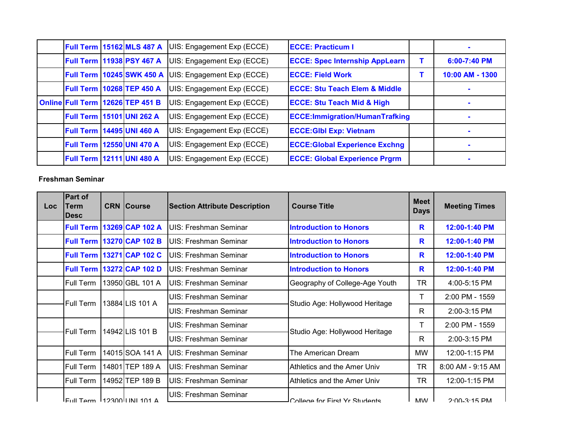|                                  | <b>Full Term 15162 MLS 487 A</b> | UIS: Engagement Exp (ECCE) | <b>IECCE: Practicum I</b>                |                 |
|----------------------------------|----------------------------------|----------------------------|------------------------------------------|-----------------|
|                                  | <b>Full Term 11938 PSY 467 A</b> | UIS: Engagement Exp (ECCE) | <b>ECCE: Spec Internship AppLearn</b>    | $6:00-7:40$ PM  |
|                                  | <b>Full Term 10245 SWK 450 A</b> | UIS: Engagement Exp (ECCE) | <b>ECCE: Field Work</b>                  | 10:00 AM - 1300 |
|                                  | Full Term 10268 TEP 450 A        | UIS: Engagement Exp (ECCE) | <b>ECCE: Stu Teach Elem &amp; Middle</b> |                 |
|                                  | Online Full Term 12626 TEP 451 B | UIS: Engagement Exp (ECCE) | <b>ECCE: Stu Teach Mid &amp; High</b>    |                 |
| <b>Full Term 15101 UNI 262 A</b> |                                  | UIS: Engagement Exp (ECCE) | <b>ECCE: Immigration/HumanTrafking</b>   |                 |
| <b>Full Term 14495 UNI 460 A</b> |                                  | UIS: Engagement Exp (ECCE) | <b>ECCE: GIbl Exp: Vietnam</b>           |                 |
| <b>Full Term 12550 UNI 470 A</b> |                                  | UIS: Engagement Exp (ECCE) | <b>ECCE: Global Experience Exchng</b>    |                 |
|                                  | <b>Full Term 12111 UNI 480 A</b> | UIS: Engagement Exp (ECCE) | <b>ECCE: Global Experience Prgrm</b>     |                 |

## **Freshman Seminar**

| Loc | Part of<br><b>Term</b><br><b>IDesc</b>    | <b>CRN Course</b>                | <b>Section Attribute Description</b> | <b>Course Title</b>            | <b>Meet</b><br><b>Days</b> | <b>Meeting Times</b> |
|-----|-------------------------------------------|----------------------------------|--------------------------------------|--------------------------------|----------------------------|----------------------|
|     |                                           | <b>Full Term 13269 CAP 102 A</b> | UIS: Freshman Seminar                | <b>Introduction to Honors</b>  | R                          | 12:00-1:40 PM        |
|     | <b>Full Term</b>                          | 13270 CAP 102 B                  | UIS: Freshman Seminar                | <b>Introduction to Honors</b>  | R                          | 12:00-1:40 PM        |
|     | <b>Full Term</b>                          | 13271 CAP 102 C                  | UIS: Freshman Seminar                | <b>Introduction to Honors</b>  | R                          | 12:00-1:40 PM        |
|     | <b>Full Term</b>                          | 13272 CAP 102 D                  | UIS: Freshman Seminar                | <b>Introduction to Honors</b>  | R                          | 12:00-1:40 PM        |
|     | Full Term                                 | 13950 GBL 101 A                  | UIS: Freshman Seminar                | Geography of College-Age Youth | <b>TR</b>                  | 4:00-5:15 PM         |
|     | <b>Full Term</b>                          |                                  | UIS: Freshman Seminar                | Studio Age: Hollywood Heritage | т                          | 2:00 PM - 1559       |
|     |                                           | 13884 LIS 101 A                  | <b>UIS: Freshman Seminar</b>         |                                | R                          | 2:00-3:15 PM         |
|     | Full Term                                 | 14942 LIS 101 B                  | UIS: Freshman Seminar                |                                | т                          | 2:00 PM - 1559       |
|     |                                           |                                  | UIS: Freshman Seminar                | Studio Age: Hollywood Heritage | R                          | 2:00-3:15 PM         |
|     | <b>Full Term</b>                          | 14015 SOA 141 A                  | <b>UIS: Freshman Seminar</b>         | The American Dream             | <b>MW</b>                  | 12:00-1:15 PM        |
|     | Full Term                                 | 14801 TEP 189 A                  | UIS: Freshman Seminar                | Athletics and the Amer Univ    | TR                         | 8:00 AM - 9:15 AM    |
|     | <b>Full Term</b>                          | 14952 TEP 189 B                  | UIS: Freshman Seminar                | Athletics and the Amer Univ    | <b>TR</b>                  | 12:00-1:15 PM        |
|     | $E_{\text{full}}$ Tarm $ 12300$ UNI 101 A |                                  | <b>UIS: Freshman Seminar</b>         | College for First Vr Students  | <b>MAN/</b>                | $2.00 - 3.15$ DM     |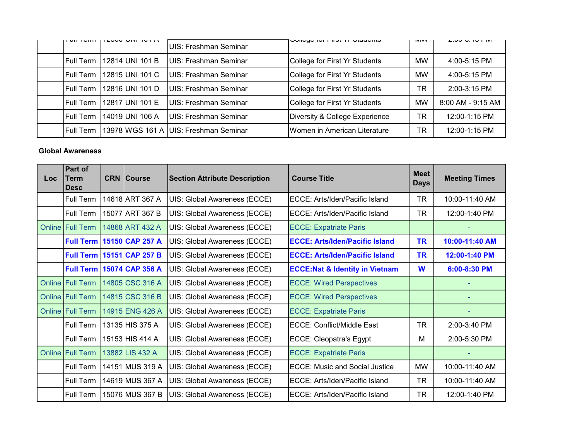| $III$ $I$ $V$ $II$ | <b>ILUUUIUINI IUI N</b> | UIS: Freshman Seminar                 | <b>OUTER TOT THE LIT ORIGINAL</b> | <b>IVIVV</b> | $L.00 - 0.10 + 101$ |
|--------------------|-------------------------|---------------------------------------|-----------------------------------|--------------|---------------------|
| Full Term          | 12814 UNI 101 B         | UIS: Freshman Seminar                 | College for First Yr Students     | <b>MW</b>    | $4:00 - 5:15$ PM    |
| Full Term          | 12815 UNI 101 C         | UIS: Freshman Seminar                 | College for First Yr Students     | <b>MW</b>    | $4:00 - 5:15$ PM    |
| Full Term          | 12816 UNI 101 D         | UIS: Freshman Seminar                 | College for First Yr Students     | TR           | $2:00 - 3:15$ PM    |
| lFull Term         | 12817 UNI 101 E         | UIS: Freshman Seminar                 | College for First Yr Students     | <b>MW</b>    | 8:00 AM - 9:15 AM   |
| Full Term          | 14019 UNI 106 A         | UIS: Freshman Seminar                 | Diversity & College Experience    | TR           | 12:00-1:15 PM       |
| <b>Full Term</b>   |                         | 13978 WGS 161 A UIS: Freshman Seminar | Women in American Literature      | <b>TR</b>    | 12:00-1:15 PM       |

## **Global Awareness**

| Loc    | <b>Part of</b><br>Term<br><b>Desc</b> | <b>CRN Course</b>                | <b>Section Attribute Description</b> | <b>Course Title</b>                       | <b>Meet</b><br><b>Days</b> | <b>Meeting Times</b> |
|--------|---------------------------------------|----------------------------------|--------------------------------------|-------------------------------------------|----------------------------|----------------------|
|        | Full Term                             | 14618 ART 367 A                  | UIS: Global Awareness (ECCE)         | ECCE: Arts/Iden/Pacific Island            | <b>TR</b>                  | 10:00-11:40 AM       |
|        | Full Term                             | 15077 ART 367 B                  | UIS: Global Awareness (ECCE)         | ECCE: Arts/Iden/Pacific Island            | <b>TR</b>                  | 12:00-1:40 PM        |
| Online | <b>Full Term</b>                      | 14868 ART 432 A                  | UIS: Global Awareness (ECCE)         | <b>ECCE: Expatriate Paris</b>             |                            |                      |
|        |                                       | <b>Full Term 15150 CAP 257 A</b> | UIS: Global Awareness (ECCE)         | <b>ECCE: Arts/Iden/Pacific Island</b>     | <b>TR</b>                  | 10:00-11:40 AM       |
|        |                                       | <b>Full Term 15151 CAP 257 B</b> | UIS: Global Awareness (ECCE)         | <b>ECCE: Arts/Iden/Pacific Island</b>     | <b>TR</b>                  | 12:00-1:40 PM        |
|        |                                       | <b>Full Term 15074 CAP 356 A</b> | UIS: Global Awareness (ECCE)         | <b>ECCE:Nat &amp; Identity in Vietnam</b> | W                          | 6:00-8:30 PM         |
|        | <b>Online Full Term</b>               | 14805 CSC 316 A                  | UIS: Global Awareness (ECCE)         | <b>ECCE: Wired Perspectives</b>           |                            |                      |
|        | <b>Online Full Term</b>               | 14815 CSC 316 B                  | UIS: Global Awareness (ECCE)         | <b>ECCE: Wired Perspectives</b>           |                            |                      |
|        | <b>Online Full Term</b>               | 14915 ENG 426 A                  | UIS: Global Awareness (ECCE)         | <b>ECCE: Expatriate Paris</b>             |                            |                      |
|        | Full Term                             | 13135 HIS 375 A                  | UIS: Global Awareness (ECCE)         | ECCE: Conflict/Middle East                | <b>TR</b>                  | 2:00-3:40 PM         |
|        | Full Term                             | 15153 HIS 414 A                  | UIS: Global Awareness (ECCE)         | <b>ECCE: Cleopatra's Egypt</b>            | M                          | 2:00-5:30 PM         |
|        | <b>Online Full Term</b>               | 13882 LIS 432 A                  | UIS: Global Awareness (ECCE)         | <b>ECCE: Expatriate Paris</b>             |                            |                      |
|        | Full Term                             | 14151 MUS 319 A                  | UIS: Global Awareness (ECCE)         | <b>ECCE: Music and Social Justice</b>     | <b>MW</b>                  | 10:00-11:40 AM       |
|        | Full Term                             | 14619 MUS 367 A                  | UIS: Global Awareness (ECCE)         | ECCE: Arts/Iden/Pacific Island            | <b>TR</b>                  | 10:00-11:40 AM       |
|        | Full Term                             | 15076 MUS 367 B                  | UIS: Global Awareness (ECCE)         | ECCE: Arts/Iden/Pacific Island            | <b>TR</b>                  | 12:00-1:40 PM        |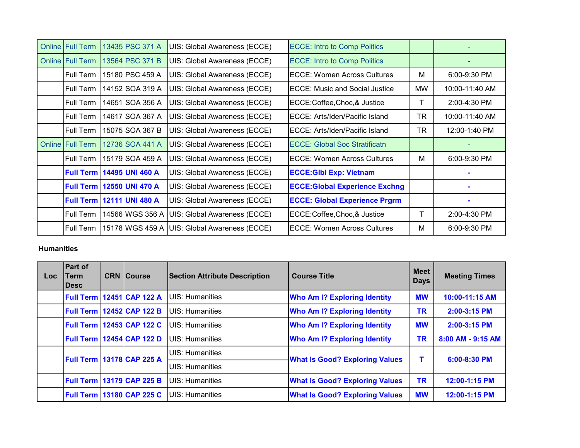| <b>Online Full Term</b> | 13435 PSC 371 A                    | UIS: Global Awareness (ECCE) | <b>ECCE: Intro to Comp Politics</b>   |    |                |
|-------------------------|------------------------------------|------------------------------|---------------------------------------|----|----------------|
| <b>Online Full Term</b> | 13564 PSC 371 B                    | UIS: Global Awareness (ECCE) | <b>ECCE: Intro to Comp Politics</b>   |    |                |
| Full Term               | 15180 PSC 459 A                    | UIS: Global Awareness (ECCE) | ECCE: Women Across Cultures           | м  | $6:00-9:30$ PM |
| <b>Full Term</b>        | 14152 SOA 319 A                    | UIS: Global Awareness (ECCE) | <b>ECCE: Music and Social Justice</b> | MW | 10:00-11:40 AM |
| <b>Full Term</b>        | 14651 SOA 356 A                    | UIS: Global Awareness (ECCE) | ECCE:Coffee,Choc,& Justice            |    | $2:00-4:30$ PM |
| <b>IFull Term</b>       | 14617 SOA 367 A                    | UIS: Global Awareness (ECCE) | IECCE: Arts/Iden/Pacific Island       | TR | 10:00-11:40 AM |
| <b>Full Term</b>        | 15075 SOA 367 B                    | UIS: Global Awareness (ECCE) | ECCE: Arts/Iden/Pacific Island        | TR | 12:00-1:40 PM  |
| <b>Online Full Term</b> | 12736 SOA 441 A                    | UIS: Global Awareness (ECCE) | <b>ECCE: Global Soc Stratificatn</b>  |    |                |
| <b>Full Term</b>        | 15179 SOA 459 A                    | UIS: Global Awareness (ECCE) | <b>IECCE: Women Across Cultures</b>   | м  | 6:00-9:30 PM   |
|                         | <b>Full Term   14495 UNI 460 A</b> | UIS: Global Awareness (ECCE) | <b>ECCE: GIbl Exp: Vietnam</b>        |    |                |
|                         | <b>Full Term 12550 UNI 470 A</b>   | UIS: Global Awareness (ECCE) | <b>ECCE:Global Experience Exchng</b>  |    |                |
|                         | <b>Full Term 12111 UNI 480 A</b>   | UIS: Global Awareness (ECCE) | <b>ECCE: Global Experience Prgrm</b>  |    |                |
| <b>Full Term</b>        | 14566 WGS 356 A                    | UIS: Global Awareness (ECCE) | ECCE:Coffee,Choc,& Justice            | Т  | 2:00-4:30 PM   |
| Full Term               | 15178 WGS 459 A                    | UIS: Global Awareness (ECCE) | <b>IECCE: Women Across Cultures</b>   | M  | 6:00-9:30 PM   |

### **Humanities**

| <b>Loc</b> | <b>Part of</b><br>Term<br><b>IDesc</b> | <b>CRN Course</b>                | <b>Section Attribute Description</b> | <b>Course Title</b>                   | <b>Meet</b><br><b>Days</b> | <b>Meeting Times</b> |
|------------|----------------------------------------|----------------------------------|--------------------------------------|---------------------------------------|----------------------------|----------------------|
|            |                                        | <b>Full Term 12451 CAP 122 A</b> | <b>UIS: Humanities</b>               | <b>Who Am I? Exploring Identity</b>   | <b>MW</b>                  | 10:00-11:15 AM       |
|            | <b>Full Term</b>                       | 12452 CAP 122 B                  | <b>UIS: Humanities</b>               | <b>Who Am I? Exploring Identity</b>   | TR                         | 2:00-3:15 PM         |
|            | <b>Full Term</b>                       | 12453 CAP 122 C                  | <b>UIS: Humanities</b>               | <b>Who Am I? Exploring Identity</b>   | <b>MW</b>                  | 2:00-3:15 PM         |
|            |                                        | <b>Full Term 12454 CAP 122 D</b> | <b>IUIS: Humanities</b>              | <b>Who Am I? Exploring Identity</b>   | <b>TR</b>                  | 8:00 AM - 9:15 AM    |
|            |                                        | <b>Full Term 13178 CAP 225 A</b> | UIS: Humanities                      | <b>What Is Good? Exploring Values</b> | т                          | 6:00-8:30 PM         |
|            |                                        |                                  | UIS: Humanities                      |                                       |                            |                      |
|            |                                        | <b>Full Term 13179 CAP 225 B</b> | <b>UIS: Humanities</b>               | <b>What Is Good? Exploring Values</b> | <b>TR</b>                  | 12:00-1:15 PM        |
|            | <b>Full Term</b>                       | <b>13180 CAP 225 C</b>           | <b>UIS: Humanities</b>               | <b>What Is Good? Exploring Values</b> | <b>MW</b>                  | 12:00-1:15 PM        |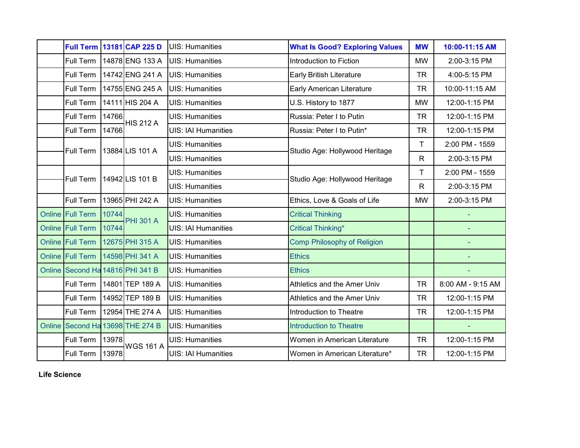|        |                                  |       | Full Term 13181 CAP 225 D | <b>UIS: Humanities</b>     | <b>What Is Good? Exploring Values</b> | <b>MW</b>    | 10:00-11:15 AM    |
|--------|----------------------------------|-------|---------------------------|----------------------------|---------------------------------------|--------------|-------------------|
|        | Full Term                        |       | 14878 ENG 133 A           | <b>UIS: Humanities</b>     | Introduction to Fiction               | <b>MW</b>    | 2:00-3:15 PM      |
|        | Full Term                        |       | 14742 ENG 241 A           | <b>UIS: Humanities</b>     | <b>Early British Literature</b>       | <b>TR</b>    | 4:00-5:15 PM      |
|        | Full Term                        |       | 14755 ENG 245 A           | <b>UIS: Humanities</b>     | <b>Early American Literature</b>      | <b>TR</b>    | 10:00-11:15 AM    |
|        | Full Term                        |       | 14111 HIS 204 A           | <b>UIS: Humanities</b>     | U.S. History to 1877                  | <b>MW</b>    | 12:00-1:15 PM     |
|        | Full Term                        | 14766 | <b>HIS 212 A</b>          | <b>UIS: Humanities</b>     | Russia: Peter I to Putin              | <b>TR</b>    | 12:00-1:15 PM     |
|        | Full Term                        | 14766 |                           | <b>UIS: IAI Humanities</b> | Russia: Peter I to Putin*             | <b>TR</b>    | 12:00-1:15 PM     |
|        | Full Term                        |       | 13884 LIS 101 A           | <b>UIS: Humanities</b>     | Studio Age: Hollywood Heritage        | T            | 2:00 PM - 1559    |
|        |                                  |       |                           | <b>UIS: Humanities</b>     |                                       | ${\sf R}$    | 2:00-3:15 PM      |
|        | <b>Full Term</b>                 |       | 14942 LIS 101 B           | <b>UIS: Humanities</b>     | Studio Age: Hollywood Heritage        | T            | 2:00 PM - 1559    |
|        |                                  |       |                           | <b>UIS: Humanities</b>     |                                       | $\mathsf{R}$ | 2:00-3:15 PM      |
|        | Full Term                        |       | 13965 PHI 242 A           | <b>UIS: Humanities</b>     | Ethics, Love & Goals of Life          | <b>MW</b>    | 2:00-3:15 PM      |
|        | Online Full Term                 | 10744 | <b>PHI 301 A</b>          | <b>UIS: Humanities</b>     | <b>Critical Thinking</b>              |              |                   |
|        | Online Full Term                 | 10744 |                           | <b>UIS: IAI Humanities</b> | <b>Critical Thinking*</b>             |              |                   |
|        | Online Full Term                 |       | 12675 PHI 315 A           | <b>UIS: Humanities</b>     | <b>Comp Philosophy of Religion</b>    |              |                   |
|        | Online Full Term                 |       | 14598 PHI 341 A           | <b>UIS: Humanities</b>     | <b>Ethics</b>                         |              | ÷                 |
|        | Online Second Ha 14816 PHI 341 B |       |                           | <b>UIS: Humanities</b>     | <b>Ethics</b>                         |              |                   |
|        | Full Term                        |       | 14801 TEP 189 A           | <b>UIS: Humanities</b>     | Athletics and the Amer Univ           | <b>TR</b>    | 8:00 AM - 9:15 AM |
|        | Full Term                        |       | 14952 TEP 189 B           | <b>UIS: Humanities</b>     | Athletics and the Amer Univ           | <b>TR</b>    | 12:00-1:15 PM     |
|        | Full Term                        |       | 12954 THE 274 A           | <b>UIS: Humanities</b>     | Introduction to Theatre               | <b>TR</b>    | 12:00-1:15 PM     |
| Online |                                  |       | Second Ha 13698 THE 274 B | <b>UIS: Humanities</b>     | <b>Introduction to Theatre</b>        |              |                   |
|        | Full Term                        | 13978 | <b>WGS 161 A</b>          | <b>UIS: Humanities</b>     | Women in American Literature          | <b>TR</b>    | 12:00-1:15 PM     |
|        | Full Term                        | 13978 |                           | <b>UIS: IAI Humanities</b> | Women in American Literature*         | <b>TR</b>    | 12:00-1:15 PM     |
|        |                                  |       |                           |                            |                                       |              |                   |

**Life Science**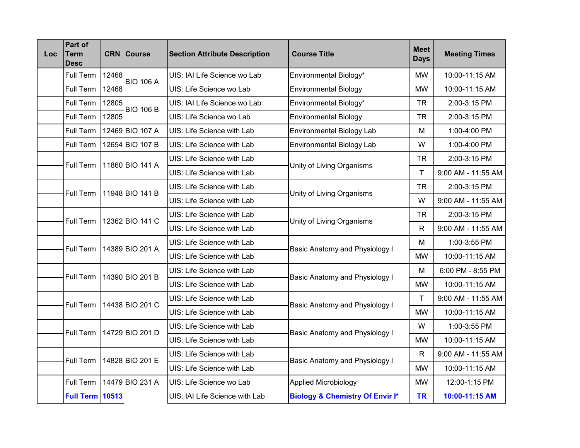| <b>Loc</b> | Part of<br><b>Term</b><br><b>Desc</b> |       | <b>CRN</b> Course | <b>Section Attribute Description</b> | <b>Course Title</b>                        | <b>Meet</b><br><b>Days</b> | <b>Meeting Times</b> |
|------------|---------------------------------------|-------|-------------------|--------------------------------------|--------------------------------------------|----------------------------|----------------------|
|            | Full Term                             | 12468 | <b>BIO 106 A</b>  | UIS: IAI Life Science wo Lab         | Environmental Biology*                     | <b>MW</b>                  | 10:00-11:15 AM       |
|            | Full Term                             | 12468 |                   | UIS: Life Science wo Lab             | <b>Environmental Biology</b>               | <b>MW</b>                  | 10:00-11:15 AM       |
|            | Full Term                             | 12805 | <b>BIO 106 B</b>  | UIS: IAI Life Science wo Lab         | Environmental Biology*                     | <b>TR</b>                  | 2:00-3:15 PM         |
|            | Full Term                             | 12805 |                   | UIS: Life Science wo Lab             | <b>Environmental Biology</b>               | <b>TR</b>                  | 2:00-3:15 PM         |
|            | Full Term                             |       | 12469 BIO 107 A   | UIS: Life Science with Lab           | <b>Environmental Biology Lab</b>           | M                          | 1:00-4:00 PM         |
|            | Full Term                             |       | 12654 BIO 107 B   | UIS: Life Science with Lab           | <b>Environmental Biology Lab</b>           | W                          | 1:00-4:00 PM         |
|            | Full Term                             |       | 11860 BIO 141 A   | UIS: Life Science with Lab           | Unity of Living Organisms                  | <b>TR</b>                  | 2:00-3:15 PM         |
|            |                                       |       |                   | UIS: Life Science with Lab           |                                            | $\mathsf T$                | 9:00 AM - 11:55 AM   |
|            | Full Term                             |       | 11948 BIO 141 B   | UIS: Life Science with Lab           | Unity of Living Organisms                  | <b>TR</b>                  | 2:00-3:15 PM         |
|            |                                       |       |                   | UIS: Life Science with Lab           |                                            | W                          | 9:00 AM - 11:55 AM   |
|            | <b>Full Term</b>                      |       | 12362 BIO 141 C   | UIS: Life Science with Lab           |                                            | <b>TR</b>                  | 2:00-3:15 PM         |
|            |                                       |       |                   | UIS: Life Science with Lab           | Unity of Living Organisms                  | $\mathsf{R}$               | 9:00 AM - 11:55 AM   |
|            | Full Term                             |       | 14389 BIO 201 A   | UIS: Life Science with Lab           | Basic Anatomy and Physiology I             | M                          | 1:00-3:55 PM         |
|            |                                       |       |                   | UIS: Life Science with Lab           |                                            | <b>MW</b>                  | 10:00-11:15 AM       |
|            | Full Term                             |       | 14390 BIO 201 B   | UIS: Life Science with Lab           | Basic Anatomy and Physiology I             | M                          | 6:00 PM - 8:55 PM    |
|            |                                       |       |                   | UIS: Life Science with Lab           |                                            | <b>MW</b>                  | 10:00-11:15 AM       |
|            | <b>Full Term</b>                      |       | 14438 BIO 201 C   | UIS: Life Science with Lab           | Basic Anatomy and Physiology I             | $\mathsf T$                | 9:00 AM - 11:55 AM   |
|            |                                       |       |                   | UIS: Life Science with Lab           |                                            | <b>MW</b>                  | 10:00-11:15 AM       |
|            | <b>Full Term</b>                      |       | 14729 BIO 201 D   | UIS: Life Science with Lab           |                                            | W                          | 1:00-3:55 PM         |
|            |                                       |       |                   | UIS: Life Science with Lab           | Basic Anatomy and Physiology I             | <b>MW</b>                  | 10:00-11:15 AM       |
|            | Full Term                             |       | 14828 BIO 201 E   | UIS: Life Science with Lab           |                                            | $\mathsf{R}$               | 9:00 AM - 11:55 AM   |
|            |                                       |       |                   | UIS: Life Science with Lab           | Basic Anatomy and Physiology I             | <b>MW</b>                  | 10:00-11:15 AM       |
|            | Full Term                             |       | 14479 BIO 231 A   | UIS: Life Science wo Lab             | <b>Applied Microbiology</b>                | <b>MW</b>                  | 12:00-1:15 PM        |
|            | <b>Full Term 10513</b>                |       |                   | UIS: IAI Life Science with Lab       | <b>Biology &amp; Chemistry Of Envir I*</b> | <b>TR</b>                  | 10:00-11:15 AM       |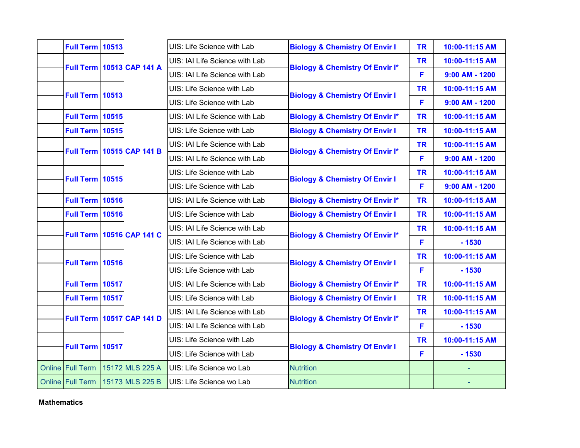| <b>Full Term 10513</b> |  |                                  | UIS: Life Science with Lab     | <b>Biology &amp; Chemistry Of Envir I</b>  | <b>TR</b> | 10:00-11:15 AM   |
|------------------------|--|----------------------------------|--------------------------------|--------------------------------------------|-----------|------------------|
|                        |  | <b>Full Term 10513 CAP 141 A</b> | UIS: IAI Life Science with Lab | <b>Biology &amp; Chemistry Of Envir I*</b> | <b>TR</b> | 10:00-11:15 AM   |
|                        |  |                                  | UIS: IAI Life Science with Lab |                                            | F         | $9:00$ AM - 1200 |
| <b>Full Term 10513</b> |  |                                  | UIS: Life Science with Lab     | <b>Biology &amp; Chemistry Of Envir I</b>  | <b>TR</b> | 10:00-11:15 AM   |
|                        |  |                                  | UIS: Life Science with Lab     |                                            | F         | $9:00$ AM - 1200 |
| <b>Full Term 10515</b> |  |                                  | UIS: IAI Life Science with Lab | <b>Biology &amp; Chemistry Of Envir I*</b> | <b>TR</b> | 10:00-11:15 AM   |
| <b>Full Term 10515</b> |  |                                  | UIS: Life Science with Lab     | <b>Biology &amp; Chemistry Of Envir I</b>  | <b>TR</b> | 10:00-11:15 AM   |
|                        |  | <b>Full Term 10515 CAP 141 B</b> | UIS: IAI Life Science with Lab | <b>Biology &amp; Chemistry Of Envir I*</b> | <b>TR</b> | 10:00-11:15 AM   |
|                        |  |                                  | UIS: IAI Life Science with Lab |                                            | F         | $9:00$ AM - 1200 |
| <b>Full Term 10515</b> |  |                                  | UIS: Life Science with Lab     | <b>Biology &amp; Chemistry Of Envir I</b>  | <b>TR</b> | 10:00-11:15 AM   |
|                        |  |                                  | UIS: Life Science with Lab     |                                            | F         | $9:00$ AM - 1200 |
| <b>Full Term 10516</b> |  |                                  | UIS: IAI Life Science with Lab | <b>Biology &amp; Chemistry Of Envir I*</b> | <b>TR</b> | 10:00-11:15 AM   |
| <b>Full Term 10516</b> |  |                                  | UIS: Life Science with Lab     | <b>Biology &amp; Chemistry Of Envir I</b>  | <b>TR</b> | 10:00-11:15 AM   |
|                        |  | <b>Full Term 10516 CAP 141 C</b> | UIS: IAI Life Science with Lab | <b>Biology &amp; Chemistry Of Envir I*</b> | <b>TR</b> | 10:00-11:15 AM   |
|                        |  |                                  | UIS: IAI Life Science with Lab |                                            | F         | $-1530$          |
| <b>Full Term 10516</b> |  |                                  | UIS: Life Science with Lab     | <b>Biology &amp; Chemistry Of Envir I</b>  | <b>TR</b> | 10:00-11:15 AM   |
|                        |  |                                  | UIS: Life Science with Lab     |                                            | F         | $-1530$          |
| Full Term 10517        |  |                                  | UIS: IAI Life Science with Lab | <b>Biology &amp; Chemistry Of Envir I*</b> | <b>TR</b> | 10:00-11:15 AM   |
| Full Term 10517        |  |                                  | UIS: Life Science with Lab     | <b>Biology &amp; Chemistry Of Envir I</b>  | <b>TR</b> | 10:00-11:15 AM   |
|                        |  | <b>Full Term 10517 CAP 141 D</b> | UIS: IAI Life Science with Lab | <b>Biology &amp; Chemistry Of Envir I*</b> | <b>TR</b> | 10:00-11:15 AM   |
|                        |  |                                  | UIS: IAI Life Science with Lab |                                            | F         | $-1530$          |
| Full Term 10517        |  |                                  | UIS: Life Science with Lab     | <b>Biology &amp; Chemistry Of Envir I</b>  | <b>TR</b> | 10:00-11:15 AM   |
|                        |  |                                  | UIS: Life Science with Lab     |                                            | F         | $-1530$          |
| Online Full Term       |  | 15172 MLS 225 A                  | UIS: Life Science wo Lab       | <b>Nutrition</b>                           |           |                  |
| Online Full Term       |  | 15173 MLS 225 B                  | UIS: Life Science wo Lab       | <b>Nutrition</b>                           |           |                  |

**Mathematics**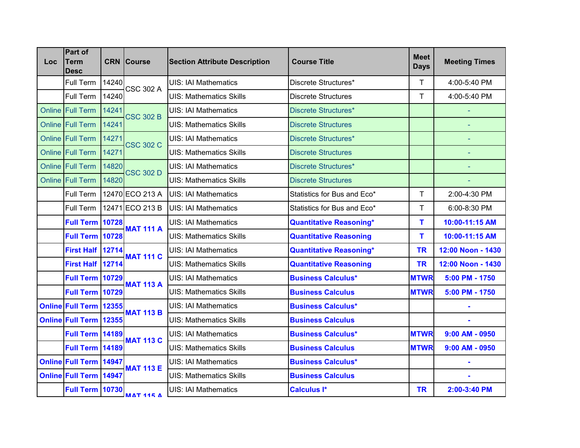| <b>Loc</b> | Part of<br><b>Term</b><br>Desc |       | <b>CRN Course</b> | <b>Section Attribute Description</b> | <b>Course Title</b>            | <b>Meet</b><br><b>Days</b> | <b>Meeting Times</b> |
|------------|--------------------------------|-------|-------------------|--------------------------------------|--------------------------------|----------------------------|----------------------|
|            | Full Term                      | 14240 | <b>CSC 302 A</b>  | <b>UIS: IAI Mathematics</b>          | Discrete Structures*           | T                          | 4:00-5:40 PM         |
|            | <b>Full Term</b>               | 14240 |                   | <b>UIS: Mathematics Skills</b>       | <b>Discrete Structures</b>     | T                          | 4:00-5:40 PM         |
|            | Online Full Term               | 14241 | <b>CSC 302 B</b>  | <b>UIS: IAI Mathematics</b>          | <b>Discrete Structures*</b>    |                            |                      |
|            | Online Full Term               | 14241 |                   | <b>UIS: Mathematics Skills</b>       | <b>Discrete Structures</b>     |                            | ÷                    |
|            | Online Full Term               | 14271 | <b>CSC 302 C</b>  | <b>UIS: IAI Mathematics</b>          | <b>Discrete Structures*</b>    |                            |                      |
|            | Online Full Term               | 14271 |                   | <b>UIS: Mathematics Skills</b>       | <b>Discrete Structures</b>     |                            | ÷,                   |
|            | Online Full Term               | 14820 | <b>CSC 302 D</b>  | <b>UIS: IAI Mathematics</b>          | <b>Discrete Structures*</b>    |                            |                      |
|            | Online Full Term               | 14820 |                   | <b>UIS: Mathematics Skills</b>       | <b>Discrete Structures</b>     |                            |                      |
|            | Full Term                      |       | 12470 ECO 213 A   | <b>UIS: IAI Mathematics</b>          | Statistics for Bus and Eco*    | T                          | 2:00-4:30 PM         |
|            | Full Term                      |       | 12471 ECO 213 B   | <b>UIS: IAI Mathematics</b>          | Statistics for Bus and Eco*    | T                          | 6:00-8:30 PM         |
|            | <b>Full Term 10728</b>         |       | <b>MAT 111 A</b>  | <b>UIS: IAI Mathematics</b>          | <b>Quantitative Reasoning*</b> | T                          | 10:00-11:15 AM       |
|            | Full Term 10728                |       |                   | <b>UIS: Mathematics Skills</b>       | <b>Quantitative Reasoning</b>  | T                          | 10:00-11:15 AM       |
|            | First Half 12714               |       | <b>MAT 111 C</b>  | <b>UIS: IAI Mathematics</b>          | <b>Quantitative Reasoning*</b> | <b>TR</b>                  | 12:00 Noon - 1430    |
|            | First Half 12714               |       |                   | <b>UIS: Mathematics Skills</b>       | <b>Quantitative Reasoning</b>  | <b>TR</b>                  | 12:00 Noon - 1430    |
|            | <b>Full Term 10729</b>         |       | <b>MAT 113 A</b>  | <b>UIS: IAI Mathematics</b>          | <b>Business Calculus*</b>      | <b>MTWR</b>                | 5:00 PM - 1750       |
|            | Full Term 10729                |       |                   | <b>UIS: Mathematics Skills</b>       | <b>Business Calculus</b>       | <b>MTWR</b>                | 5:00 PM - 1750       |
|            | <b>Online Full Term 12355</b>  |       | <b>MAT 113 B</b>  | <b>UIS: IAI Mathematics</b>          | <b>Business Calculus*</b>      |                            |                      |
|            | Online Full Term 12355         |       |                   | <b>UIS: Mathematics Skills</b>       | <b>Business Calculus</b>       |                            | ÷,                   |
|            | <b>Full Term 14189</b>         |       | <b>MAT 113 C</b>  | <b>UIS: IAI Mathematics</b>          | <b>Business Calculus*</b>      | <b>MTWR</b>                | $9:00$ AM - 0950     |
|            | Full Term 14189                |       |                   | <b>UIS: Mathematics Skills</b>       | <b>Business Calculus</b>       | <b>MTWR</b>                | $9:00$ AM - 0950     |
|            | <b>Online Full Term 14947</b>  |       | <b>MAT 113 E</b>  | <b>UIS: IAI Mathematics</b>          | <b>Business Calculus*</b>      |                            |                      |
|            | <b>Online Full Term 14947</b>  |       |                   | <b>UIS: Mathematics Skills</b>       | <b>Business Calculus</b>       |                            |                      |
|            | <b>Full Term 10730</b>         |       | <b>МАТ 115 А</b>  | <b>UIS: IAI Mathematics</b>          | <b>Calculus I*</b>             | <b>TR</b>                  | 2:00-3:40 PM         |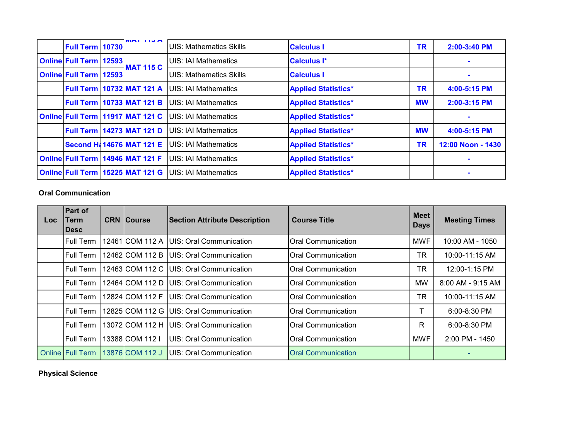| Full Term 10730               | $M$ $N$ $N$                          | IUIS: Mathematics Skills     | <b>Calculus I</b>          | TR        | 2:00-3:40 PM      |
|-------------------------------|--------------------------------------|------------------------------|----------------------------|-----------|-------------------|
| <b>Online Full Term 12593</b> |                                      | <b>IUIS: IAI Mathematics</b> | <b>Calculus I*</b>         |           |                   |
| <b>Online Full Term 12593</b> | <b>MAT 115 C</b>                     | IUIS: Mathematics Skills     | <b>Calculus I</b>          |           |                   |
|                               | Full Term 10732 MAT 121 A            | <b>JUIS: IAI Mathematics</b> | <b>Applied Statistics*</b> | <b>TR</b> | 4:00-5:15 PM      |
|                               | <b>Full Term 10733 MAT 121 B</b>     | <b>JUIS: IAI Mathematics</b> | <b>Applied Statistics*</b> | <b>MW</b> | 2:00-3:15 PM      |
|                               | Online Full Term 11917 MAT 121 C     | <b>IUIS: IAI Mathematics</b> | <b>Applied Statistics*</b> |           |                   |
|                               | Full Term 14273 MAT 121 D            | <b>IUIS: IAI Mathematics</b> | <b>Applied Statistics*</b> | <b>MW</b> | 4:00-5:15 PM      |
|                               | <b>Second H&amp; 14676 MAT 121 E</b> | UIS: IAI Mathematics         | <b>Applied Statistics*</b> | TR        | 12:00 Noon - 1430 |
|                               | Online Full Term 14946 MAT 121 F     | <b>JUIS: IAI Mathematics</b> | <b>Applied Statistics*</b> |           |                   |
|                               | Online Full Term 15225 MAT 121 G     | <b>UIS: IAI Mathematics</b>  | <b>Applied Statistics*</b> |           |                   |

### **Oral Communication**

| Loc. | Part of<br><b>Term</b><br><b>IDesc</b> | <b>CRN Course</b> | <b>Section Attribute Description</b>      | <b>Course Title</b>       | <b>Meet</b><br><b>Days</b> | <b>Meeting Times</b>  |
|------|----------------------------------------|-------------------|-------------------------------------------|---------------------------|----------------------------|-----------------------|
|      | Full Term                              | 12461 COM 112 A   | UIS: Oral Communication                   | Oral Communication        | <b>MWF</b>                 | 10:00 AM - 1050       |
|      | Full Term                              | 12462 COM 112 B   | <b>IUIS: Oral Communication</b>           | <b>Oral Communication</b> | TR                         | 10:00-11:15 AM        |
|      | <b>Full Term</b>                       |                   | 12463 COM 112 C   UIS: Oral Communication | <b>Oral Communication</b> | <b>TR</b>                  | 12:00-1:15 PM         |
|      | Full Term                              | 12464 COM 112 D   | <b>IUIS: Oral Communication</b>           | <b>Oral Communication</b> | <b>MW</b>                  | $8:00$ AM - $9:15$ AM |
|      | Full Term                              | 12824 COM 112 F   | <b>UIS: Oral Communication</b>            | <b>Oral Communication</b> | <b>TR</b>                  | 10:00-11:15 AM        |
|      | lFull Term                             | 12825 COM 112 G   | UIS: Oral Communication                   | Oral Communication        | т                          | 6:00-8:30 PM          |
|      | Full Term                              | 13072 COM 112 H   | <b>IUIS: Oral Communication</b>           | <b>Oral Communication</b> | R                          | 6:00-8:30 PM          |
|      | Full Term                              | 13388 COM 112 I   | UIS: Oral Communication                   | <b>Oral Communication</b> | <b>MWF</b>                 | 2:00 PM - 1450        |
|      | <b>Online Full Term</b>                | 13876 COM 112 J   | UIS: Oral Communication                   | <b>Oral Communication</b> |                            |                       |

## **Physical Science**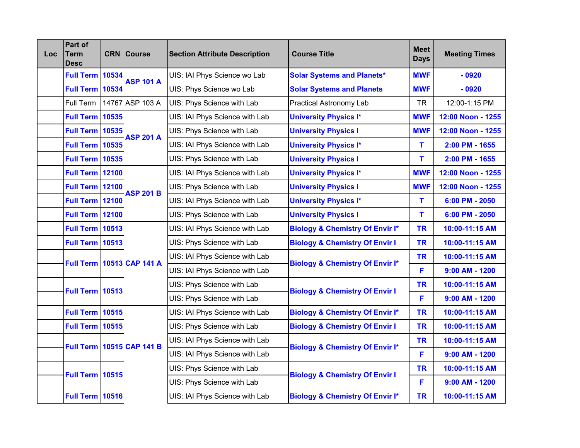| <b>Loc</b> | Part of<br><b>Term</b><br>Desc |       | <b>CRN</b> Course         | <b>Section Attribute Description</b> | <b>Course Title</b>                        | <b>Meet</b><br><b>Days</b> | <b>Meeting Times</b> |
|------------|--------------------------------|-------|---------------------------|--------------------------------------|--------------------------------------------|----------------------------|----------------------|
|            | <b>Full Term</b>               | 10534 | <b>ASP 101 A</b>          | UIS: IAI Phys Science wo Lab         | <b>Solar Systems and Planets*</b>          | <b>MWF</b>                 | $-0920$              |
|            | <b>Full Term</b>               | 10534 |                           | UIS: Phys Science wo Lab             | <b>Solar Systems and Planets</b>           | <b>MWF</b>                 | $-0920$              |
|            | Full Term                      |       | 14767 ASP 103 A           | UIS: Phys Science with Lab           | Practical Astronomy Lab                    | <b>TR</b>                  | 12:00-1:15 PM        |
|            | <b>Full Term</b>               | 10535 |                           | UIS: IAI Phys Science with Lab       | <b>University Physics I*</b>               | <b>MWF</b>                 | 12:00 Noon - 1255    |
|            | <b>Full Term 10535</b>         |       | <b>ASP 201 A</b>          | UIS: Phys Science with Lab           | <b>University Physics I</b>                | <b>MWF</b>                 | 12:00 Noon - 1255    |
|            | <b>Full Term 10535</b>         |       |                           | UIS: IAI Phys Science with Lab       | <b>University Physics I*</b>               | т                          | 2:00 PM - 1655       |
|            | <b>Full Term</b>               | 10535 |                           | UIS: Phys Science with Lab           | <b>University Physics I</b>                | т                          | 2:00 PM - 1655       |
|            | <b>Full Term</b>               | 12100 |                           | UIS: IAI Phys Science with Lab       | <b>University Physics I*</b>               | <b>MWF</b>                 | 12:00 Noon - 1255    |
|            | <b>Full Term 12100</b>         |       | <b>ASP 201 B</b>          | UIS: Phys Science with Lab           | <b>University Physics I</b>                | <b>MWF</b>                 | 12:00 Noon - 1255    |
|            | <b>Full Term 12100</b>         |       |                           | UIS: IAI Phys Science with Lab       | <b>University Physics I*</b>               | т                          | 6:00 PM - 2050       |
|            | <b>Full Term 12100</b>         |       |                           | UIS: Phys Science with Lab           | <b>University Physics I</b>                | т                          | 6:00 PM - 2050       |
|            | <b>Full Term 10513</b>         |       |                           | UIS: IAI Phys Science with Lab       | <b>Biology &amp; Chemistry Of Envir I*</b> | <b>TR</b>                  | 10:00-11:15 AM       |
|            | <b>Full Term 10513</b>         |       |                           | UIS: Phys Science with Lab           | <b>Biology &amp; Chemistry Of Envir I</b>  | <b>TR</b>                  | 10:00-11:15 AM       |
|            | <b>Full Term</b>               |       | 10513 CAP 141 A           | UIS: IAI Phys Science with Lab       |                                            | <b>TR</b>                  | 10:00-11:15 AM       |
|            |                                |       |                           | UIS: IAI Phys Science with Lab       | <b>Biology &amp; Chemistry Of Envir I*</b> | F                          | $9:00$ AM - 1200     |
|            | <b>Full Term 10513</b>         |       |                           | UIS: Phys Science with Lab           |                                            | <b>TR</b>                  | 10:00-11:15 AM       |
|            |                                |       |                           | UIS: Phys Science with Lab           | <b>Biology &amp; Chemistry Of Envir I</b>  | F                          | $9:00$ AM - 1200     |
|            | <b>Full Term 10515</b>         |       |                           | UIS: IAI Phys Science with Lab       | <b>Biology &amp; Chemistry Of Envir I*</b> | <b>TR</b>                  | 10:00-11:15 AM       |
|            | <b>Full Term 10515</b>         |       |                           | UIS: Phys Science with Lab           | <b>Biology &amp; Chemistry Of Envir I</b>  | <b>TR</b>                  | 10:00-11:15 AM       |
|            |                                |       | Full Term 10515 CAP 141 B | UIS: IAI Phys Science with Lab       |                                            | <b>TR</b>                  | 10:00-11:15 AM       |
|            |                                |       |                           | UIS: IAI Phys Science with Lab       | <b>Biology &amp; Chemistry Of Envir I*</b> | F                          | $9:00$ AM - 1200     |
|            |                                |       |                           | UIS: Phys Science with Lab           |                                            | <b>TR</b>                  | 10:00-11:15 AM       |
|            | <b>Full Term 10515</b>         |       |                           | UIS: Phys Science with Lab           | <b>Biology &amp; Chemistry Of Envir I</b>  | F                          | $9:00$ AM - 1200     |
|            | <b>Full Term 10516</b>         |       |                           | UIS: IAI Phys Science with Lab       | <b>Biology &amp; Chemistry Of Envir I*</b> | <b>TR</b>                  | 10:00-11:15 AM       |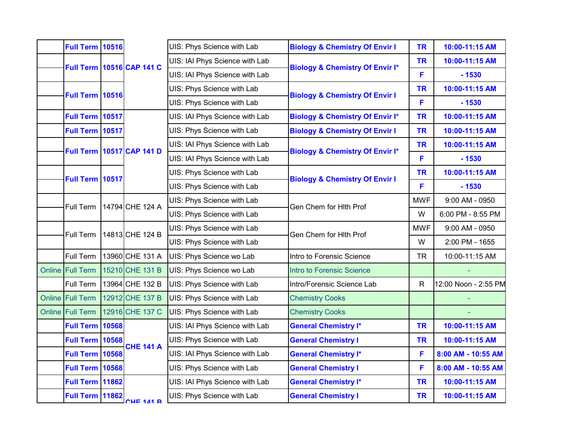| <b>Full Term 10516</b><br>UIS: Phys Science with Lab<br><b>Biology &amp; Chemistry Of Envir I</b><br><b>TR</b><br>10:00-11:15 AM<br>UIS: IAI Phys Science with Lab<br><b>TR</b><br>10:00-11:15 AM<br>Full Term 10516 CAP 141 C<br><b>Biology &amp; Chemistry Of Envir I*</b><br>UIS: IAI Phys Science with Lab<br>F<br>$-1530$<br><b>TR</b><br>10:00-11:15 AM<br>UIS: Phys Science with Lab<br><b>Full Term 10516</b><br><b>Biology &amp; Chemistry Of Envir I</b><br>F<br>UIS: Phys Science with Lab<br>$-1530$<br>Full Term 10517<br><b>Biology &amp; Chemistry Of Envir I*</b><br><b>TR</b><br>10:00-11:15 AM<br>UIS: IAI Phys Science with Lab<br>Full Term 10517<br><b>Biology &amp; Chemistry Of Envir I</b><br>UIS: Phys Science with Lab<br><b>TR</b><br>10:00-11:15 AM<br><b>TR</b><br>UIS: IAI Phys Science with Lab<br>10:00-11:15 AM<br><b>Full Term 10517 CAP 141 D</b><br><b>Biology &amp; Chemistry Of Envir I*</b><br>UIS: IAI Phys Science with Lab<br>F<br>$-1530$<br><b>TR</b><br>UIS: Phys Science with Lab<br>10:00-11:15 AM<br>Full Term 10517<br><b>Biology &amp; Chemistry Of Envir I</b><br>UIS: Phys Science with Lab<br>F<br>$-1530$<br>UIS: Phys Science with Lab<br><b>MWF</b><br>9:00 AM - 0950<br>14794 CHE 124 A<br>Full Term<br>Gen Chem for Hith Prof<br>W<br>UIS: Phys Science with Lab<br>6:00 PM - 8:55 PM<br>UIS: Phys Science with Lab<br><b>MWF</b><br>9:00 AM - 0950<br>14813 CHE 124 B<br><b>Full Term</b><br>Gen Chem for Hith Prof<br>UIS: Phys Science with Lab<br>W<br>2:00 PM - 1655<br>13960 CHE 131 A<br>Full Term<br>Intro to Forensic Science<br><b>TR</b><br>UIS: Phys Science wo Lab<br>10:00-11:15 AM<br>Online Full Term<br>15210 CHE 131 B<br>UIS: Phys Science wo Lab<br><b>Intro to Forensic Science</b><br>12:00 Noon - 2:55 PM<br>13964 CHE 132 B<br>Full Term<br>UIS: Phys Science with Lab<br>Intro/Forensic Science Lab<br>${\sf R}$<br>Online Full Term<br>12912 CHE 137 B<br>UIS: Phys Science with Lab<br><b>Chemistry Cooks</b><br>Online Full Term<br>12916 CHE 137 C<br><b>Chemistry Cooks</b><br>UIS: Phys Science with Lab<br><b>Full Term 10568</b><br>UIS: IAI Phys Science with Lab<br><b>General Chemistry I*</b><br><b>TR</b><br>10:00-11:15 AM<br><b>Full Term 10568</b><br>UIS: Phys Science with Lab<br><b>General Chemistry I</b><br><b>TR</b><br>10:00-11:15 AM<br><b>CHE 141 A</b><br>10568<br>UIS: IAI Phys Science with Lab<br><b>Full Term</b><br><b>General Chemistry I*</b><br>F<br>8:00 AM - 10:55 AM<br><b>Full Term 10568</b><br>UIS: Phys Science with Lab<br>F<br><b>General Chemistry I</b><br>8:00 AM - 10:55 AM<br><b>Full Term 11862</b><br>UIS: IAI Phys Science with Lab<br><b>General Chemistry I*</b><br><b>TR</b><br>10:00-11:15 AM<br>Full Term 11862<br>UIS: Phys Science with Lab<br><b>General Chemistry I</b><br><b>TR</b><br>10:00-11:15 AM<br><b>CHF 141 R</b> |  |  |  |  |  |
|----------------------------------------------------------------------------------------------------------------------------------------------------------------------------------------------------------------------------------------------------------------------------------------------------------------------------------------------------------------------------------------------------------------------------------------------------------------------------------------------------------------------------------------------------------------------------------------------------------------------------------------------------------------------------------------------------------------------------------------------------------------------------------------------------------------------------------------------------------------------------------------------------------------------------------------------------------------------------------------------------------------------------------------------------------------------------------------------------------------------------------------------------------------------------------------------------------------------------------------------------------------------------------------------------------------------------------------------------------------------------------------------------------------------------------------------------------------------------------------------------------------------------------------------------------------------------------------------------------------------------------------------------------------------------------------------------------------------------------------------------------------------------------------------------------------------------------------------------------------------------------------------------------------------------------------------------------------------------------------------------------------------------------------------------------------------------------------------------------------------------------------------------------------------------------------------------------------------------------------------------------------------------------------------------------------------------------------------------------------------------------------------------------------------------------------------------------------------------------------------------------------------------------------------------------------------------------------------------------------------------------------------------------------------------------------------------------------------------------------------------------------------------------------------------------------------------------------------------------------------------|--|--|--|--|--|
|                                                                                                                                                                                                                                                                                                                                                                                                                                                                                                                                                                                                                                                                                                                                                                                                                                                                                                                                                                                                                                                                                                                                                                                                                                                                                                                                                                                                                                                                                                                                                                                                                                                                                                                                                                                                                                                                                                                                                                                                                                                                                                                                                                                                                                                                                                                                                                                                                                                                                                                                                                                                                                                                                                                                                                                                                                                                            |  |  |  |  |  |
|                                                                                                                                                                                                                                                                                                                                                                                                                                                                                                                                                                                                                                                                                                                                                                                                                                                                                                                                                                                                                                                                                                                                                                                                                                                                                                                                                                                                                                                                                                                                                                                                                                                                                                                                                                                                                                                                                                                                                                                                                                                                                                                                                                                                                                                                                                                                                                                                                                                                                                                                                                                                                                                                                                                                                                                                                                                                            |  |  |  |  |  |
|                                                                                                                                                                                                                                                                                                                                                                                                                                                                                                                                                                                                                                                                                                                                                                                                                                                                                                                                                                                                                                                                                                                                                                                                                                                                                                                                                                                                                                                                                                                                                                                                                                                                                                                                                                                                                                                                                                                                                                                                                                                                                                                                                                                                                                                                                                                                                                                                                                                                                                                                                                                                                                                                                                                                                                                                                                                                            |  |  |  |  |  |
|                                                                                                                                                                                                                                                                                                                                                                                                                                                                                                                                                                                                                                                                                                                                                                                                                                                                                                                                                                                                                                                                                                                                                                                                                                                                                                                                                                                                                                                                                                                                                                                                                                                                                                                                                                                                                                                                                                                                                                                                                                                                                                                                                                                                                                                                                                                                                                                                                                                                                                                                                                                                                                                                                                                                                                                                                                                                            |  |  |  |  |  |
|                                                                                                                                                                                                                                                                                                                                                                                                                                                                                                                                                                                                                                                                                                                                                                                                                                                                                                                                                                                                                                                                                                                                                                                                                                                                                                                                                                                                                                                                                                                                                                                                                                                                                                                                                                                                                                                                                                                                                                                                                                                                                                                                                                                                                                                                                                                                                                                                                                                                                                                                                                                                                                                                                                                                                                                                                                                                            |  |  |  |  |  |
|                                                                                                                                                                                                                                                                                                                                                                                                                                                                                                                                                                                                                                                                                                                                                                                                                                                                                                                                                                                                                                                                                                                                                                                                                                                                                                                                                                                                                                                                                                                                                                                                                                                                                                                                                                                                                                                                                                                                                                                                                                                                                                                                                                                                                                                                                                                                                                                                                                                                                                                                                                                                                                                                                                                                                                                                                                                                            |  |  |  |  |  |
|                                                                                                                                                                                                                                                                                                                                                                                                                                                                                                                                                                                                                                                                                                                                                                                                                                                                                                                                                                                                                                                                                                                                                                                                                                                                                                                                                                                                                                                                                                                                                                                                                                                                                                                                                                                                                                                                                                                                                                                                                                                                                                                                                                                                                                                                                                                                                                                                                                                                                                                                                                                                                                                                                                                                                                                                                                                                            |  |  |  |  |  |
|                                                                                                                                                                                                                                                                                                                                                                                                                                                                                                                                                                                                                                                                                                                                                                                                                                                                                                                                                                                                                                                                                                                                                                                                                                                                                                                                                                                                                                                                                                                                                                                                                                                                                                                                                                                                                                                                                                                                                                                                                                                                                                                                                                                                                                                                                                                                                                                                                                                                                                                                                                                                                                                                                                                                                                                                                                                                            |  |  |  |  |  |
|                                                                                                                                                                                                                                                                                                                                                                                                                                                                                                                                                                                                                                                                                                                                                                                                                                                                                                                                                                                                                                                                                                                                                                                                                                                                                                                                                                                                                                                                                                                                                                                                                                                                                                                                                                                                                                                                                                                                                                                                                                                                                                                                                                                                                                                                                                                                                                                                                                                                                                                                                                                                                                                                                                                                                                                                                                                                            |  |  |  |  |  |
|                                                                                                                                                                                                                                                                                                                                                                                                                                                                                                                                                                                                                                                                                                                                                                                                                                                                                                                                                                                                                                                                                                                                                                                                                                                                                                                                                                                                                                                                                                                                                                                                                                                                                                                                                                                                                                                                                                                                                                                                                                                                                                                                                                                                                                                                                                                                                                                                                                                                                                                                                                                                                                                                                                                                                                                                                                                                            |  |  |  |  |  |
|                                                                                                                                                                                                                                                                                                                                                                                                                                                                                                                                                                                                                                                                                                                                                                                                                                                                                                                                                                                                                                                                                                                                                                                                                                                                                                                                                                                                                                                                                                                                                                                                                                                                                                                                                                                                                                                                                                                                                                                                                                                                                                                                                                                                                                                                                                                                                                                                                                                                                                                                                                                                                                                                                                                                                                                                                                                                            |  |  |  |  |  |
|                                                                                                                                                                                                                                                                                                                                                                                                                                                                                                                                                                                                                                                                                                                                                                                                                                                                                                                                                                                                                                                                                                                                                                                                                                                                                                                                                                                                                                                                                                                                                                                                                                                                                                                                                                                                                                                                                                                                                                                                                                                                                                                                                                                                                                                                                                                                                                                                                                                                                                                                                                                                                                                                                                                                                                                                                                                                            |  |  |  |  |  |
|                                                                                                                                                                                                                                                                                                                                                                                                                                                                                                                                                                                                                                                                                                                                                                                                                                                                                                                                                                                                                                                                                                                                                                                                                                                                                                                                                                                                                                                                                                                                                                                                                                                                                                                                                                                                                                                                                                                                                                                                                                                                                                                                                                                                                                                                                                                                                                                                                                                                                                                                                                                                                                                                                                                                                                                                                                                                            |  |  |  |  |  |
|                                                                                                                                                                                                                                                                                                                                                                                                                                                                                                                                                                                                                                                                                                                                                                                                                                                                                                                                                                                                                                                                                                                                                                                                                                                                                                                                                                                                                                                                                                                                                                                                                                                                                                                                                                                                                                                                                                                                                                                                                                                                                                                                                                                                                                                                                                                                                                                                                                                                                                                                                                                                                                                                                                                                                                                                                                                                            |  |  |  |  |  |
|                                                                                                                                                                                                                                                                                                                                                                                                                                                                                                                                                                                                                                                                                                                                                                                                                                                                                                                                                                                                                                                                                                                                                                                                                                                                                                                                                                                                                                                                                                                                                                                                                                                                                                                                                                                                                                                                                                                                                                                                                                                                                                                                                                                                                                                                                                                                                                                                                                                                                                                                                                                                                                                                                                                                                                                                                                                                            |  |  |  |  |  |
|                                                                                                                                                                                                                                                                                                                                                                                                                                                                                                                                                                                                                                                                                                                                                                                                                                                                                                                                                                                                                                                                                                                                                                                                                                                                                                                                                                                                                                                                                                                                                                                                                                                                                                                                                                                                                                                                                                                                                                                                                                                                                                                                                                                                                                                                                                                                                                                                                                                                                                                                                                                                                                                                                                                                                                                                                                                                            |  |  |  |  |  |
|                                                                                                                                                                                                                                                                                                                                                                                                                                                                                                                                                                                                                                                                                                                                                                                                                                                                                                                                                                                                                                                                                                                                                                                                                                                                                                                                                                                                                                                                                                                                                                                                                                                                                                                                                                                                                                                                                                                                                                                                                                                                                                                                                                                                                                                                                                                                                                                                                                                                                                                                                                                                                                                                                                                                                                                                                                                                            |  |  |  |  |  |
|                                                                                                                                                                                                                                                                                                                                                                                                                                                                                                                                                                                                                                                                                                                                                                                                                                                                                                                                                                                                                                                                                                                                                                                                                                                                                                                                                                                                                                                                                                                                                                                                                                                                                                                                                                                                                                                                                                                                                                                                                                                                                                                                                                                                                                                                                                                                                                                                                                                                                                                                                                                                                                                                                                                                                                                                                                                                            |  |  |  |  |  |
|                                                                                                                                                                                                                                                                                                                                                                                                                                                                                                                                                                                                                                                                                                                                                                                                                                                                                                                                                                                                                                                                                                                                                                                                                                                                                                                                                                                                                                                                                                                                                                                                                                                                                                                                                                                                                                                                                                                                                                                                                                                                                                                                                                                                                                                                                                                                                                                                                                                                                                                                                                                                                                                                                                                                                                                                                                                                            |  |  |  |  |  |
|                                                                                                                                                                                                                                                                                                                                                                                                                                                                                                                                                                                                                                                                                                                                                                                                                                                                                                                                                                                                                                                                                                                                                                                                                                                                                                                                                                                                                                                                                                                                                                                                                                                                                                                                                                                                                                                                                                                                                                                                                                                                                                                                                                                                                                                                                                                                                                                                                                                                                                                                                                                                                                                                                                                                                                                                                                                                            |  |  |  |  |  |
|                                                                                                                                                                                                                                                                                                                                                                                                                                                                                                                                                                                                                                                                                                                                                                                                                                                                                                                                                                                                                                                                                                                                                                                                                                                                                                                                                                                                                                                                                                                                                                                                                                                                                                                                                                                                                                                                                                                                                                                                                                                                                                                                                                                                                                                                                                                                                                                                                                                                                                                                                                                                                                                                                                                                                                                                                                                                            |  |  |  |  |  |
|                                                                                                                                                                                                                                                                                                                                                                                                                                                                                                                                                                                                                                                                                                                                                                                                                                                                                                                                                                                                                                                                                                                                                                                                                                                                                                                                                                                                                                                                                                                                                                                                                                                                                                                                                                                                                                                                                                                                                                                                                                                                                                                                                                                                                                                                                                                                                                                                                                                                                                                                                                                                                                                                                                                                                                                                                                                                            |  |  |  |  |  |
|                                                                                                                                                                                                                                                                                                                                                                                                                                                                                                                                                                                                                                                                                                                                                                                                                                                                                                                                                                                                                                                                                                                                                                                                                                                                                                                                                                                                                                                                                                                                                                                                                                                                                                                                                                                                                                                                                                                                                                                                                                                                                                                                                                                                                                                                                                                                                                                                                                                                                                                                                                                                                                                                                                                                                                                                                                                                            |  |  |  |  |  |
|                                                                                                                                                                                                                                                                                                                                                                                                                                                                                                                                                                                                                                                                                                                                                                                                                                                                                                                                                                                                                                                                                                                                                                                                                                                                                                                                                                                                                                                                                                                                                                                                                                                                                                                                                                                                                                                                                                                                                                                                                                                                                                                                                                                                                                                                                                                                                                                                                                                                                                                                                                                                                                                                                                                                                                                                                                                                            |  |  |  |  |  |
|                                                                                                                                                                                                                                                                                                                                                                                                                                                                                                                                                                                                                                                                                                                                                                                                                                                                                                                                                                                                                                                                                                                                                                                                                                                                                                                                                                                                                                                                                                                                                                                                                                                                                                                                                                                                                                                                                                                                                                                                                                                                                                                                                                                                                                                                                                                                                                                                                                                                                                                                                                                                                                                                                                                                                                                                                                                                            |  |  |  |  |  |
|                                                                                                                                                                                                                                                                                                                                                                                                                                                                                                                                                                                                                                                                                                                                                                                                                                                                                                                                                                                                                                                                                                                                                                                                                                                                                                                                                                                                                                                                                                                                                                                                                                                                                                                                                                                                                                                                                                                                                                                                                                                                                                                                                                                                                                                                                                                                                                                                                                                                                                                                                                                                                                                                                                                                                                                                                                                                            |  |  |  |  |  |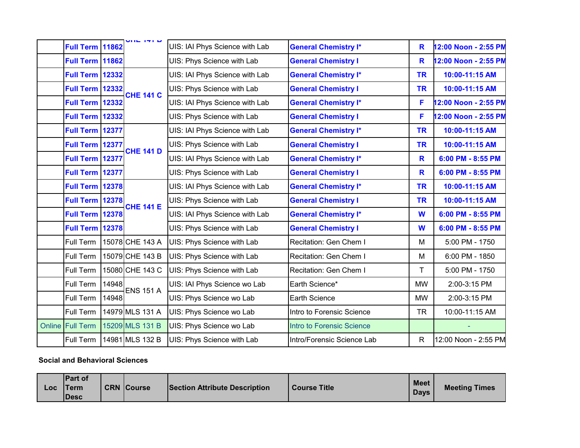| Full Term 11862        |       | ש ו <del>יו</del> שווט       | UIS: IAI Phys Science with Lab | <b>General Chemistry I*</b>      | R            | 12:00 Noon - 2:55 PM |
|------------------------|-------|------------------------------|--------------------------------|----------------------------------|--------------|----------------------|
| Full Term 11862        |       |                              | UIS: Phys Science with Lab     | <b>General Chemistry I</b>       | R            | 12:00 Noon - 2:55 PM |
| <b>Full Term 12332</b> |       |                              | UIS: IAI Phys Science with Lab | <b>General Chemistry I*</b>      | <b>TR</b>    | 10:00-11:15 AM       |
| <b>Full Term 12332</b> |       | <b>CHE 141 C</b>             | UIS: Phys Science with Lab     | <b>General Chemistry I</b>       | <b>TR</b>    | 10:00-11:15 AM       |
| Full Term 12332        |       |                              | UIS: IAI Phys Science with Lab | <b>General Chemistry I*</b>      | F            | 12:00 Noon - 2:55 PM |
| <b>Full Term 12332</b> |       |                              | UIS: Phys Science with Lab     | <b>General Chemistry I</b>       | F            | 12:00 Noon - 2:55 PM |
| Full Term 12377        |       |                              | UIS: IAI Phys Science with Lab | <b>General Chemistry I*</b>      | <b>TR</b>    | 10:00-11:15 AM       |
| Full Term 12377        |       | <b>CHE 141 D</b>             | UIS: Phys Science with Lab     | <b>General Chemistry I</b>       | <b>TR</b>    | 10:00-11:15 AM       |
| <b>Full Term 12377</b> |       |                              | UIS: IAI Phys Science with Lab | <b>General Chemistry I*</b>      | R            | 6:00 PM - 8:55 PM    |
| Full Term 12377        |       |                              | UIS: Phys Science with Lab     | <b>General Chemistry I</b>       | R            | 6:00 PM - 8:55 PM    |
| <b>Full Term 12378</b> |       |                              | UIS: IAI Phys Science with Lab | <b>General Chemistry I*</b>      | <b>TR</b>    | 10:00-11:15 AM       |
| <b>Full Term 12378</b> |       | <b>CHE 141 E</b>             | UIS: Phys Science with Lab     | <b>General Chemistry I</b>       | <b>TR</b>    | 10:00-11:15 AM       |
| <b>Full Term 12378</b> |       |                              | UIS: IAI Phys Science with Lab | <b>General Chemistry I*</b>      | W            | 6:00 PM - 8:55 PM    |
| <b>Full Term 12378</b> |       |                              | UIS: Phys Science with Lab     | <b>General Chemistry I</b>       | W            | 6:00 PM - 8:55 PM    |
| Full Term              |       | 15078 CHE 143 A              | UIS: Phys Science with Lab     | Recitation: Gen Chem I           | м            | 5:00 PM - 1750       |
| Full Term              |       | 15079 CHE 143 B              | UIS: Phys Science with Lab     | Recitation: Gen Chem I           | M            | 6:00 PM - 1850       |
| Full Term              |       | 15080 CHE 143 C              | UIS: Phys Science with Lab     | Recitation: Gen Chem I           | T            | 5:00 PM - 1750       |
| Full Term              | 14948 |                              | UIS: IAI Phys Science wo Lab   | Earth Science*                   | <b>MW</b>    | 2:00-3:15 PM         |
| Full Term              | 14948 | ENS 151 A<br>14979 MLS 131 A | UIS: Phys Science wo Lab       | <b>Earth Science</b>             | <b>MW</b>    | 2:00-3:15 PM         |
| Full Term              |       |                              | UIS: Phys Science wo Lab       | Intro to Forensic Science        | <b>TR</b>    | 10:00-11:15 AM       |
| Online Full Term       |       | 15209 MLS 131 B              | UIS: Phys Science wo Lab       | <b>Intro to Forensic Science</b> |              |                      |
| Full Term              |       | 14981 MLS 132 B              | UIS: Phys Science with Lab     | Intro/Forensic Science Lab       | $\mathsf{R}$ | 12:00 Noon - 2:55 PM |

#### **Social and Behavioral Sciences**

| <b>ITerm</b><br>Loc<br><b>Desc</b> | <b>Part of</b> | <b>CRN Course</b> | <b>Section Attribute Description</b> | Course Title | <b>Meet</b><br><b>Days</b> | <b>Meeting Times</b> |
|------------------------------------|----------------|-------------------|--------------------------------------|--------------|----------------------------|----------------------|
|------------------------------------|----------------|-------------------|--------------------------------------|--------------|----------------------------|----------------------|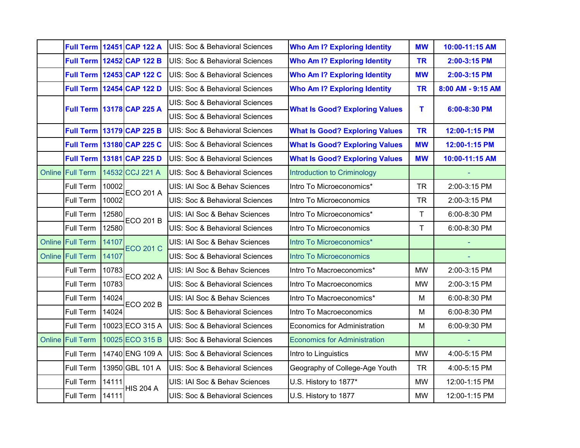|        |                         |       | <b>Full Term 12451 CAP 122 A</b> | UIS: Soc & Behavioral Sciences            | <b>Who Am I? Exploring Identity</b>   | <b>MW</b> | 10:00-11:15 AM    |
|--------|-------------------------|-------|----------------------------------|-------------------------------------------|---------------------------------------|-----------|-------------------|
|        |                         |       | <b>Full Term 12452 CAP 122 B</b> | UIS: Soc & Behavioral Sciences            | <b>Who Am I? Exploring Identity</b>   | <b>TR</b> | 2:00-3:15 PM      |
|        |                         |       | <b>Full Term 12453 CAP 122 C</b> | UIS: Soc & Behavioral Sciences            | <b>Who Am I? Exploring Identity</b>   | <b>MW</b> | 2:00-3:15 PM      |
|        |                         |       | Full Term 12454 CAP 122 D        | <b>UIS: Soc &amp; Behavioral Sciences</b> | <b>Who Am I? Exploring Identity</b>   | <b>TR</b> | 8:00 AM - 9:15 AM |
|        |                         |       | Full Term 13178 CAP 225 A        | UIS: Soc & Behavioral Sciences            | <b>What Is Good? Exploring Values</b> | T         | 6:00-8:30 PM      |
|        |                         |       |                                  | UIS: Soc & Behavioral Sciences            |                                       |           |                   |
|        |                         |       | <b>Full Term 13179 CAP 225 B</b> | <b>UIS: Soc &amp; Behavioral Sciences</b> | <b>What Is Good? Exploring Values</b> | <b>TR</b> | 12:00-1:15 PM     |
|        |                         |       | Full Term 13180 CAP 225 C        | UIS: Soc & Behavioral Sciences            | <b>What Is Good? Exploring Values</b> | <b>MW</b> | 12:00-1:15 PM     |
|        |                         |       | Full Term 13181 CAP 225 D        | UIS: Soc & Behavioral Sciences            | <b>What Is Good? Exploring Values</b> | <b>MW</b> | 10:00-11:15 AM    |
|        | Online Full Term        |       | 14532 CCJ 221 A                  | UIS: Soc & Behavioral Sciences            | <b>Introduction to Criminology</b>    |           |                   |
|        | Full Term               | 10002 | <b>ECO 201 A</b>                 | UIS: IAI Soc & Behav Sciences             | Intro To Microeconomics*              | <b>TR</b> | 2:00-3:15 PM      |
|        | Full Term               | 10002 |                                  | UIS: Soc & Behavioral Sciences            | Intro To Microeconomics               | <b>TR</b> | 2:00-3:15 PM      |
|        | Full Term               | 12580 | <b>ECO 201 B</b>                 | UIS: IAI Soc & Behav Sciences             | Intro To Microeconomics*              | T         | 6:00-8:30 PM      |
|        | Full Term               | 12580 |                                  | UIS: Soc & Behavioral Sciences            | Intro To Microeconomics               | T         | 6:00-8:30 PM      |
|        | Online Full Term        | 14107 | <b>ECO 201 C</b>                 | UIS: IAI Soc & Behav Sciences             | Intro To Microeconomics*              |           |                   |
|        | <b>Online Full Term</b> | 14107 |                                  | UIS: Soc & Behavioral Sciences            | <b>Intro To Microeconomics</b>        |           |                   |
|        | Full Term               | 10783 | <b>ECO 202 A</b>                 | UIS: IAI Soc & Behav Sciences             | Intro To Macroeconomics*              | <b>MW</b> | 2:00-3:15 PM      |
|        | Full Term               | 10783 |                                  | UIS: Soc & Behavioral Sciences            | Intro To Macroeconomics               | <b>MW</b> | 2:00-3:15 PM      |
|        | Full Term               | 14024 | <b>ECO 202 B</b>                 | UIS: IAI Soc & Behav Sciences             | Intro To Macroeconomics*              | M         | 6:00-8:30 PM      |
|        | Full Term               | 14024 |                                  | UIS: Soc & Behavioral Sciences            | Intro To Macroeconomics               | M         | 6:00-8:30 PM      |
|        | Full Term               |       | 10023 ECO 315 A                  | <b>UIS: Soc &amp; Behavioral Sciences</b> | <b>Economics for Administration</b>   | M         | 6:00-9:30 PM      |
| Online | <b>Full Term</b>        |       | 10025 ECO 315 B                  | UIS: Soc & Behavioral Sciences            | <b>Economics for Administration</b>   |           |                   |
|        | Full Term               |       | 14740 ENG 109 A                  | UIS: Soc & Behavioral Sciences            | Intro to Linguistics                  | <b>MW</b> | 4:00-5:15 PM      |
|        | Full Term               |       | 13950 GBL 101 A                  | UIS: Soc & Behavioral Sciences            | Geography of College-Age Youth        | <b>TR</b> | 4:00-5:15 PM      |
|        | Full Term               | 14111 |                                  | UIS: IAI Soc & Behav Sciences             | U.S. History to 1877*                 | <b>MW</b> | 12:00-1:15 PM     |
|        | Full Term               | 14111 | <b>HIS 204 A</b>                 | UIS: Soc & Behavioral Sciences            | U.S. History to 1877                  | <b>MW</b> | 12:00-1:15 PM     |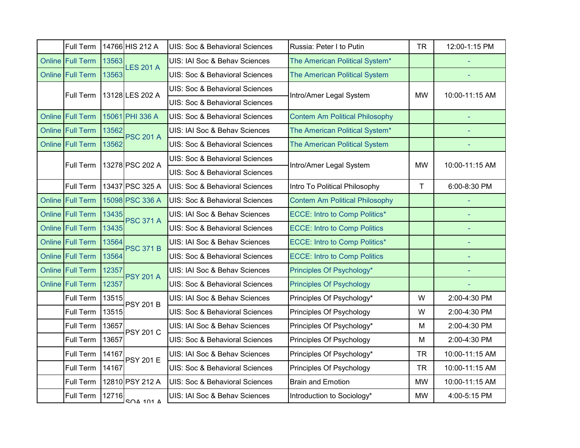| Full Term        |       | 14766 HIS 212 A  | UIS: Soc & Behavioral Sciences | Russia: Peter I to Putin              | <b>TR</b> | 12:00-1:15 PM  |
|------------------|-------|------------------|--------------------------------|---------------------------------------|-----------|----------------|
| Online Full Term | 13563 | <b>LES 201 A</b> | UIS: IAI Soc & Behav Sciences  | The American Political System*        |           |                |
| Online Full Term | 13563 |                  | UIS: Soc & Behavioral Sciences | The American Political System         |           |                |
| Full Term        |       | 13128 LES 202 A  | UIS: Soc & Behavioral Sciences | Intro/Amer Legal System               | <b>MW</b> | 10:00-11:15 AM |
|                  |       |                  | UIS: Soc & Behavioral Sciences |                                       |           |                |
| Online Full Term |       | 15061 PHI 336 A  | UIS: Soc & Behavioral Sciences | <b>Contem Am Political Philosophy</b> |           |                |
| Online Full Term | 13562 | <b>PSC 201 A</b> | UIS: IAI Soc & Behav Sciences  | The American Political System*        |           |                |
| Online Full Term | 13562 |                  | UIS: Soc & Behavioral Sciences | The American Political System         |           |                |
| Full Term        |       | 13278 PSC 202 A  | UIS: Soc & Behavioral Sciences | Intro/Amer Legal System               | <b>MW</b> | 10:00-11:15 AM |
|                  |       |                  | UIS: Soc & Behavioral Sciences |                                       |           |                |
| <b>Full Term</b> |       | 13437 PSC 325 A  | UIS: Soc & Behavioral Sciences | Intro To Political Philosophy         | T         | 6:00-8:30 PM   |
| Online Full Term |       | 15098 PSC 336 A  | UIS: Soc & Behavioral Sciences | <b>Contem Am Political Philosophy</b> |           |                |
| Online Full Term | 13435 | <b>PSC 371 A</b> | UIS: IAI Soc & Behav Sciences  | <b>ECCE: Intro to Comp Politics*</b>  |           |                |
| Online Full Term | 13435 |                  | UIS: Soc & Behavioral Sciences | <b>ECCE: Intro to Comp Politics</b>   |           | ٠              |
| Online Full Term | 13564 | <b>PSC 371 B</b> | UIS: IAI Soc & Behav Sciences  | <b>ECCE: Intro to Comp Politics*</b>  |           |                |
| Online Full Term | 13564 |                  | UIS: Soc & Behavioral Sciences | <b>ECCE: Intro to Comp Politics</b>   |           | ÷,             |
| Online Full Term | 12357 | <b>PSY 201 A</b> | UIS: IAI Soc & Behav Sciences  | Principles Of Psychology*             |           |                |
| Online Full Term | 12357 |                  | UIS: Soc & Behavioral Sciences | <b>Principles Of Psychology</b>       |           |                |
| Full Term        | 13515 | <b>PSY 201 B</b> | UIS: IAI Soc & Behav Sciences  | Principles Of Psychology*             | W         | 2:00-4:30 PM   |
| Full Term        | 13515 |                  | UIS: Soc & Behavioral Sciences | Principles Of Psychology              | W         | 2:00-4:30 PM   |
| Full Term        | 13657 | <b>PSY 201 C</b> | UIS: IAI Soc & Behav Sciences  | Principles Of Psychology*             | M         | 2:00-4:30 PM   |
| Full Term        | 13657 |                  | UIS: Soc & Behavioral Sciences | Principles Of Psychology              | M         | 2:00-4:30 PM   |
| Full Term        | 14167 | <b>PSY 201 E</b> | UIS: IAI Soc & Behav Sciences  | Principles Of Psychology*             | <b>TR</b> | 10:00-11:15 AM |
| Full Term        | 14167 |                  | UIS: Soc & Behavioral Sciences | Principles Of Psychology              | <b>TR</b> | 10:00-11:15 AM |
| Full Term        |       | 12810 PSY 212 A  | UIS: Soc & Behavioral Sciences | <b>Brain and Emotion</b>              | <b>MW</b> | 10:00-11:15 AM |
| Full Term        | 12716 | <b>SOA 101 A</b> | UIS: IAI Soc & Behav Sciences  | Introduction to Sociology*            | <b>MW</b> | 4:00-5:15 PM   |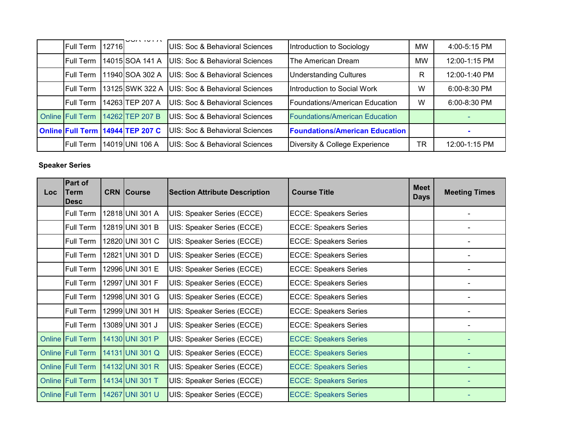|                         |       | ה וטו השט                        |                                           |                                       |           |                  |
|-------------------------|-------|----------------------------------|-------------------------------------------|---------------------------------------|-----------|------------------|
| <b>Full Term</b>        | 12716 |                                  | <b>UIS: Soc &amp; Behavioral Sciences</b> | Introduction to Sociology             | <b>MW</b> | $4:00 - 5:15$ PM |
| <b>Full Term</b>        |       | 14015 SOA 141 A                  | UIS: Soc & Behavioral Sciences            | The American Dream                    | <b>MW</b> | 12:00-1:15 PM    |
| <b>Full Term</b>        |       | 11940 SOA 302 A                  | UIS: Soc & Behavioral Sciences            | <b>Understanding Cultures</b>         | R         | 12:00-1:40 PM    |
| <b>Full Term</b>        |       | 13125 SWK 322 A                  | UIS: Soc & Behavioral Sciences            | Introduction to Social Work           | W         | 6:00-8:30 PM     |
| <b>Full Term</b>        |       | 14263 TEP 207 A                  | UIS: Soc & Behavioral Sciences            | Foundations/American Education        | W         | 6:00-8:30 PM     |
| <b>Online Full Term</b> |       | 14262 TEP 207 B                  | UIS: Soc & Behavioral Sciences            | <b>Foundations/American Education</b> |           |                  |
|                         |       | Online Full Term 14944 TEP 207 C | UIS: Soc & Behavioral Sciences            | <b>Foundations/American Education</b> |           |                  |
| <b>Full Term</b>        |       | 14019 UNI 106 A                  | UIS: Soc & Behavioral Sciences            | Diversity & College Experience        | TR        | 12:00-1:15 PM    |

## **Speaker Series**

| Loc | Part of<br>Term<br><b>Desc</b> | <b>CRN Course</b> | <b>Section Attribute Description</b> | <b>Course Title</b>          |  | <b>Meeting Times</b> |
|-----|--------------------------------|-------------------|--------------------------------------|------------------------------|--|----------------------|
|     | Full Term                      | 12818 UNI 301 A   | UIS: Speaker Series (ECCE)           | <b>ECCE: Speakers Series</b> |  |                      |
|     | Full Term                      | 12819 UNI 301 B   | UIS: Speaker Series (ECCE)           | <b>ECCE: Speakers Series</b> |  |                      |
|     | Full Term                      | 12820 UNI 301 C   | UIS: Speaker Series (ECCE)           | <b>ECCE: Speakers Series</b> |  |                      |
|     | Full Term                      | 12821 UNI 301 D   | UIS: Speaker Series (ECCE)           | <b>ECCE: Speakers Series</b> |  |                      |
|     | Full Term                      | 12996 UNI 301 E   | UIS: Speaker Series (ECCE)           | <b>ECCE: Speakers Series</b> |  |                      |
|     | Full Term                      | 12997 UNI 301 F   | UIS: Speaker Series (ECCE)           | <b>ECCE: Speakers Series</b> |  |                      |
|     | Full Term                      | 12998 UNI 301 G   | UIS: Speaker Series (ECCE)           | <b>ECCE: Speakers Series</b> |  |                      |
|     | Full Term                      | 12999 UNI 301 H   | UIS: Speaker Series (ECCE)           | <b>ECCE: Speakers Series</b> |  |                      |
|     | Full Term                      | 13089 UNI 301 J   | UIS: Speaker Series (ECCE)           | <b>ECCE: Speakers Series</b> |  |                      |
|     | <b>Online Full Term</b>        | 14130 UNI 301 P   | UIS: Speaker Series (ECCE)           | <b>ECCE: Speakers Series</b> |  |                      |
|     | <b>Online Full Term</b>        | 14131 UNI 301 Q   | UIS: Speaker Series (ECCE)           | <b>ECCE: Speakers Series</b> |  |                      |
|     | <b>Online Full Term</b>        | 14132 UNI 301 R   | UIS: Speaker Series (ECCE)           | <b>ECCE: Speakers Series</b> |  |                      |
|     | <b>Online Full Term</b>        | 14134 UNI 301 T   | UIS: Speaker Series (ECCE)           | <b>ECCE: Speakers Series</b> |  |                      |
|     | <b>Online Full Term</b>        | 14267 UNI 301 U   | UIS: Speaker Series (ECCE)           | <b>ECCE: Speakers Series</b> |  |                      |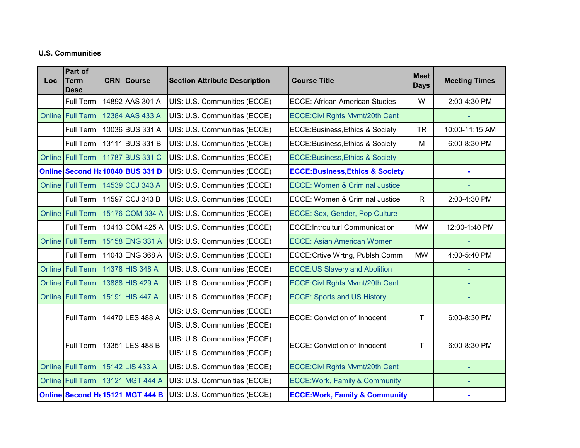### **U.S. Communities**

| Loc | Part of<br>Term<br>Desc | <b>CRN Course</b>                | <b>Section Attribute Description</b> | <b>Course Title</b>                         | <b>Meet</b><br><b>Days</b> | <b>Meeting Times</b> |
|-----|-------------------------|----------------------------------|--------------------------------------|---------------------------------------------|----------------------------|----------------------|
|     | Full Term               | 14892 AAS 301 A                  | UIS: U.S. Communities (ECCE)         | <b>ECCE: African American Studies</b>       | W                          | 2:00-4:30 PM         |
|     | Online Full Term        | 12384 AAS 433 A                  | UIS: U.S. Communities (ECCE)         | ECCE: Civi Rghts Mvmt/20th Cent             |                            |                      |
|     | Full Term               | 10036 BUS 331 A                  | UIS: U.S. Communities (ECCE)         | ECCE: Business, Ethics & Society            | <b>TR</b>                  | 10:00-11:15 AM       |
|     | Full Term               | 13111 BUS 331 B                  | UIS: U.S. Communities (ECCE)         | <b>ECCE:Business, Ethics &amp; Society</b>  | M                          | 6:00-8:30 PM         |
|     | Online Full Term        | 11787 BUS 331 C                  | UIS: U.S. Communities (ECCE)         | <b>ECCE:Business, Ethics &amp; Society</b>  |                            |                      |
|     |                         | Online Second H& 10040 BUS 331 D | UIS: U.S. Communities (ECCE)         | <b>ECCE: Business, Ethics &amp; Society</b> |                            |                      |
|     | <b>Online Full Term</b> | 14539 CCJ 343 A                  | UIS: U.S. Communities (ECCE)         | <b>ECCE: Women &amp; Criminal Justice</b>   |                            |                      |
|     | Full Term               | 14597 CCJ 343 B                  | UIS: U.S. Communities (ECCE)         | <b>ECCE: Women &amp; Criminal Justice</b>   | $\mathsf{R}$               | 2:00-4:30 PM         |
|     | <b>Online Full Term</b> | 15176 COM 334 A                  | UIS: U.S. Communities (ECCE)         | ECCE: Sex, Gender, Pop Culture              |                            |                      |
|     | Full Term               | 10413 COM 425 A                  | UIS: U.S. Communities (ECCE)         | <b>ECCE:Intrculturl Communication</b>       | <b>MW</b>                  | 12:00-1:40 PM        |
|     | <b>Online Full Term</b> | 15158 ENG 331 A                  | UIS: U.S. Communities (ECCE)         | <b>ECCE: Asian American Women</b>           |                            |                      |
|     | Full Term               | 14043 ENG 368 A                  | UIS: U.S. Communities (ECCE)         | ECCE: Crtive Wrtng, Publsh, Comm            | <b>MW</b>                  | 4:00-5:40 PM         |
|     | <b>Online Full Term</b> | 14378 HIS 348 A                  | UIS: U.S. Communities (ECCE)         | <b>ECCE:US Slavery and Abolition</b>        |                            |                      |
|     | Online Full Term        | 13888 HIS 429 A                  | UIS: U.S. Communities (ECCE)         | ECCE: Civi Rghts Mvmt/20th Cent             |                            |                      |
|     | Online Full Term        | 15191 HIS 447 A                  | UIS: U.S. Communities (ECCE)         | <b>ECCE: Sports and US History</b>          |                            |                      |
|     | Full Term               | 14470 LES 488 A                  | UIS: U.S. Communities (ECCE)         | <b>ECCE: Conviction of Innocent</b>         | Τ                          | 6:00-8:30 PM         |
|     |                         |                                  | UIS: U.S. Communities (ECCE)         |                                             |                            |                      |
|     | Full Term               | 13351 LES 488 B                  | UIS: U.S. Communities (ECCE)         | <b>ECCE: Conviction of Innocent</b>         | Τ                          | 6:00-8:30 PM         |
|     |                         |                                  | UIS: U.S. Communities (ECCE)         |                                             |                            |                      |
|     | Online Full Term        | 15142 LIS 433 A                  | UIS: U.S. Communities (ECCE)         | ECCE: Civi Rghts Mvmt/20th Cent             |                            |                      |
|     | Online Full Term        | 13121 MGT 444 A                  | UIS: U.S. Communities (ECCE)         | <b>ECCE: Work, Family &amp; Community</b>   |                            |                      |
|     |                         | Online Second H& 15121 MGT 444 B | UIS: U.S. Communities (ECCE)         | <b>ECCE: Work, Family &amp; Community</b>   |                            |                      |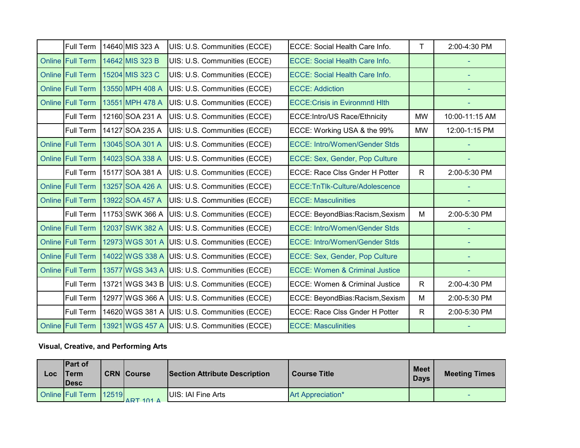| Full Term               | 14640 MIS 323 A | UIS: U.S. Communities (ECCE)                   | <b>ECCE: Social Health Care Info.</b>     | T            | 2:00-4:30 PM   |
|-------------------------|-----------------|------------------------------------------------|-------------------------------------------|--------------|----------------|
| Online Full Term        | 14642 MIS 323 B | UIS: U.S. Communities (ECCE)                   | <b>ECCE: Social Health Care Info.</b>     |              |                |
| <b>Online Full Term</b> | 15204 MIS 323 C | UIS: U.S. Communities (ECCE)                   | <b>ECCE: Social Health Care Info.</b>     |              |                |
| Online Full Term        | 13550 MPH 408 A | UIS: U.S. Communities (ECCE)                   | <b>ECCE: Addiction</b>                    |              |                |
| <b>Online Full Term</b> | 13551 MPH 478 A | UIS: U.S. Communities (ECCE)                   | <b>ECCE: Crisis in Evironmntl Hlth</b>    |              |                |
| Full Term               | 12160 SOA 231 A | UIS: U.S. Communities (ECCE)                   | ECCE: Intro/US Race/Ethnicity             | <b>MW</b>    | 10:00-11:15 AM |
| Full Term               | 14127 SOA 235 A | UIS: U.S. Communities (ECCE)                   | ECCE: Working USA & the 99%               | <b>MW</b>    | 12:00-1:15 PM  |
| Online Full Term        | 13045 SOA 301 A | UIS: U.S. Communities (ECCE)                   | <b>ECCE: Intro/Women/Gender Stds</b>      |              |                |
| Online Full Term        | 14023 SOA 338 A | UIS: U.S. Communities (ECCE)                   | ECCE: Sex, Gender, Pop Culture            |              |                |
| Full Term               | 15177 SOA 381 A | UIS: U.S. Communities (ECCE)                   | <b>ECCE: Race Clss Gnder H Potter</b>     | $\mathsf{R}$ | 2:00-5:30 PM   |
| Online Full Term        | 13257 SOA 426 A | UIS: U.S. Communities (ECCE)                   | ECCE:TnTlk-Culture/Adolescence            |              |                |
| Online Full Term        | 13922 SOA 457 A | UIS: U.S. Communities (ECCE)                   | <b>ECCE: Masculinities</b>                |              |                |
| Full Term               | 11753 SWK 366 A | UIS: U.S. Communities (ECCE)                   | ECCE: BeyondBias:Racism,Sexism            | M            | 2:00-5:30 PM   |
| <b>Online Full Term</b> | 12037 SWK 382 A | UIS: U.S. Communities (ECCE)                   | <b>ECCE: Intro/Women/Gender Stds</b>      |              |                |
| Online Full Term        | 12973 WGS 301 A | UIS: U.S. Communities (ECCE)                   | <b>ECCE: Intro/Women/Gender Stds</b>      |              |                |
| <b>Online Full Term</b> | 14022 WGS 338 A | UIS: U.S. Communities (ECCE)                   | ECCE: Sex, Gender, Pop Culture            |              |                |
| Online Full Term        | 13577 WGS 343 A | UIS: U.S. Communities (ECCE)                   | <b>ECCE: Women &amp; Criminal Justice</b> |              |                |
| <b>Full Term</b>        | 13721 WGS 343 B | UIS: U.S. Communities (ECCE)                   | <b>ECCE: Women &amp; Criminal Justice</b> | $\mathsf{R}$ | 2:00-4:30 PM   |
| Full Term               |                 | 12977 WGS 366 A   UIS: U.S. Communities (ECCE) | ECCE: BeyondBias:Racism,Sexism            | M            | 2:00-5:30 PM   |
| Full Term               |                 | 14620 WGS 381 A UIS: U.S. Communities (ECCE)   | ECCE: Race Clss Gnder H Potter            | R.           | 2:00-5:30 PM   |
| Online Full Term        |                 | 13921 WGS 457 A UIS: U.S. Communities (ECCE)   | <b>ECCE: Masculinities</b>                |              |                |

# **Visual, Creative, and Performing Arts**

| LOC | <b>IPart of</b><br><b>Term</b><br><b>IDesc</b> | <b>CRN</b> Course | <b>Section Attribute Description</b> | <b>Course Title</b> | <b>Meet</b><br><b>Days</b> | <b>Meeting Times</b> |
|-----|------------------------------------------------|-------------------|--------------------------------------|---------------------|----------------------------|----------------------|
|     | Online Full Term 12519                         | $ADT$ $101$ $A$   | UIS: IAI Fine Arts                   | Art Appreciation*   |                            | -                    |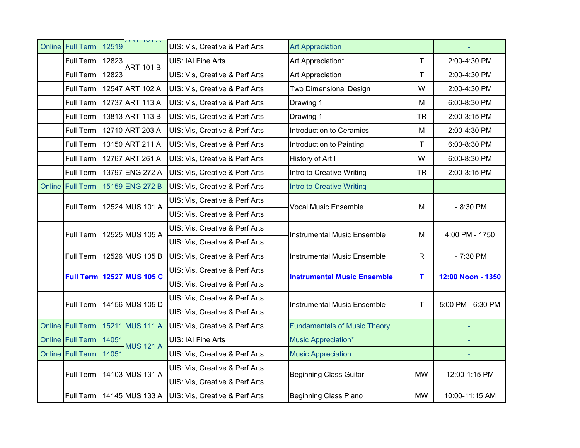|           | Online Full Term        | 12519 | ת וטו וזה                        | UIS: Vis, Creative & Perf Arts | <b>Art Appreciation</b>             |           |                   |
|-----------|-------------------------|-------|----------------------------------|--------------------------------|-------------------------------------|-----------|-------------------|
|           | Full Term               | 12823 | <b>ART 101 B</b>                 | UIS: IAI Fine Arts             | Art Appreciation*                   | T         | 2:00-4:30 PM      |
|           | Full Term               | 12823 |                                  | UIS: Vis, Creative & Perf Arts | <b>Art Appreciation</b>             | T         | 2:00-4:30 PM      |
|           | Full Term               |       | 12547 ART 102 A                  | UIS: Vis, Creative & Perf Arts | <b>Two Dimensional Design</b>       | W         | 2:00-4:30 PM      |
|           | Full Term               |       | 12737 ART 113 A                  | UIS: Vis, Creative & Perf Arts | Drawing 1                           | M         | 6:00-8:30 PM      |
|           | Full Term               |       | 13813 ART 113 B                  | UIS: Vis, Creative & Perf Arts | Drawing 1                           | <b>TR</b> | 2:00-3:15 PM      |
|           | Full Term               |       | 12710 ART 203 A                  | UIS: Vis, Creative & Perf Arts | Introduction to Ceramics            | M         | 2:00-4:30 PM      |
|           | Full Term               |       | 13150 ART 211 A                  | UIS: Vis, Creative & Perf Arts | Introduction to Painting            | T         | 6:00-8:30 PM      |
|           | Full Term               |       | 12767 ART 261 A                  | UIS: Vis, Creative & Perf Arts | History of Art I                    | W         | 6:00-8:30 PM      |
|           | Full Term               |       | 13797 ENG 272 A                  | UIS: Vis, Creative & Perf Arts | Intro to Creative Writing           | <b>TR</b> | 2:00-3:15 PM      |
|           | Online Full Term        |       | 15159 ENG 272 B                  | UIS: Vis, Creative & Perf Arts | Intro to Creative Writing           |           |                   |
|           | Full Term               |       | 12524 MUS 101 A                  | UIS: Vis, Creative & Perf Arts | Vocal Music Ensemble                | M         | $-8:30$ PM        |
|           |                         |       |                                  | UIS: Vis, Creative & Perf Arts |                                     |           |                   |
|           | Full Term               |       | 12525 MUS 105 A                  | UIS: Vis, Creative & Perf Arts | <b>Instrumental Music Ensemble</b>  | M         | 4:00 PM - 1750    |
|           |                         |       |                                  | UIS: Vis, Creative & Perf Arts |                                     |           |                   |
|           | Full Term               |       | 12526 MUS 105 B                  | UIS: Vis, Creative & Perf Arts | <b>Instrumental Music Ensemble</b>  | R         | $-7:30$ PM        |
|           |                         |       | <b>Full Term 12527 MUS 105 C</b> | UIS: Vis, Creative & Perf Arts | <b>Instrumental Music Ensemble</b>  | т         | 12:00 Noon - 1350 |
|           |                         |       |                                  | UIS: Vis, Creative & Perf Arts |                                     |           |                   |
|           | Full Term               |       | 14156 MUS 105 D                  | UIS: Vis, Creative & Perf Arts | <b>Instrumental Music Ensemble</b>  | Т         | 5:00 PM - 6:30 PM |
|           |                         |       |                                  | UIS: Vis, Creative & Perf Arts |                                     |           |                   |
|           | <b>Online Full Term</b> |       | 15211 MUS 111 A                  | UIS: Vis, Creative & Perf Arts | <b>Fundamentals of Music Theory</b> |           |                   |
|           | Online Full Term        | 14051 | <b>MUS 121 A</b>                 | UIS: IAI Fine Arts             | <b>Music Appreciation*</b>          |           |                   |
|           | Online Full Term        | 14051 |                                  | UIS: Vis, Creative & Perf Arts | <b>Music Appreciation</b>           |           |                   |
|           |                         |       | 14103 MUS 131 A                  | UIS: Vis, Creative & Perf Arts | <b>Beginning Class Guitar</b>       | <b>MW</b> | 12:00-1:15 PM     |
| Full Term |                         |       | UIS: Vis, Creative & Perf Arts   |                                |                                     |           |                   |
|           | Full Term               |       | 14145 MUS 133 A                  | UIS: Vis, Creative & Perf Arts | <b>Beginning Class Piano</b>        | <b>MW</b> | 10:00-11:15 AM    |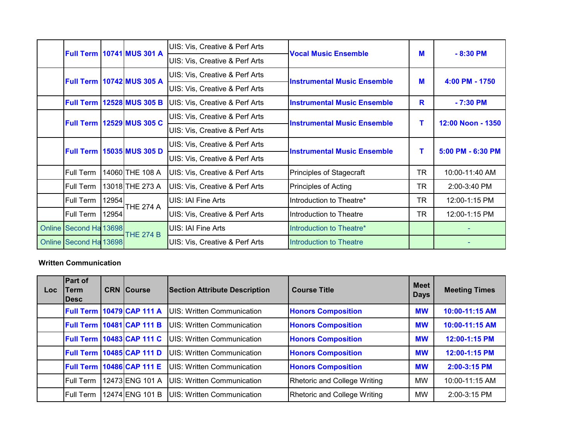|                        |                                  | <b>Full Term   10741 MUS 301 A</b> | UIS: Vis, Creative & Perf Arts            | <b>Vocal Music Ensemble</b>        | M         | $-8:30$ PM        |  |
|------------------------|----------------------------------|------------------------------------|-------------------------------------------|------------------------------------|-----------|-------------------|--|
|                        |                                  |                                    | UIS: Vis, Creative & Perf Arts            |                                    |           |                   |  |
|                        |                                  | <b>Full Term   10742 MUS 305 A</b> | UIS: Vis, Creative & Perf Arts            | <b>Instrumental Music Ensemble</b> | M         | 4:00 PM - 1750    |  |
|                        |                                  |                                    | UIS: Vis, Creative & Perf Arts            |                                    |           |                   |  |
|                        |                                  | <b>Full Term   12528 MUS 305 B</b> | UIS: Vis, Creative & Perf Arts            | <b>Instrumental Music Ensemble</b> | R         | $-7:30$ PM        |  |
|                        | <b>Full Term 12529 MUS 305 C</b> |                                    | UIS: Vis, Creative & Perf Arts            | <b>Instrumental Music Ensemble</b> | т         | 12:00 Noon - 1350 |  |
|                        |                                  |                                    | UIS: Vis, Creative & Perf Arts            |                                    |           |                   |  |
|                        |                                  | <b>Full Term 15035 MUS 305 D</b>   | UIS: Vis, Creative & Perf Arts            | <b>Instrumental Music Ensemble</b> | т         | 5:00 PM - 6:30 PM |  |
|                        |                                  |                                    | UIS: Vis, Creative & Perf Arts            |                                    |           |                   |  |
| Full Term              |                                  | 14060 THE 108 A                    | <b>UIS: Vis, Creative &amp; Perf Arts</b> | Principles of Stagecraft           | TR        | 10:00-11:40 AM    |  |
| Full Term              |                                  | 13018 THE 273 A                    | UIS: Vis, Creative & Perf Arts            | Principles of Acting               | <b>TR</b> | 2:00-3:40 PM      |  |
| Full Term              | 12954                            | THE 274 A                          | UIS: IAI Fine Arts                        | Introduction to Theatre*           | TR.       | 12:00-1:15 PM     |  |
| Full Term              | 12954                            |                                    | UIS: Vis, Creative & Perf Arts            | Introduction to Theatre            | TR.       | 12:00-1:15 PM     |  |
| Online Second Ha 13698 |                                  | <b>THE 274 B</b>                   | UIS: IAI Fine Arts                        | Introduction to Theatre*           |           |                   |  |
| Online Second Ha 13698 |                                  |                                    | UIS: Vis, Creative & Perf Arts            | Introduction to Theatre            |           |                   |  |

#### **Written Communication**

| Loc. | <b>Part of</b><br><b>Term</b><br><b>IDesc</b> | <b>CRN Course</b>                  | <b>Section Attribute Description</b> | <b>Course Title</b>                 |           | <b>Meeting Times</b> |
|------|-----------------------------------------------|------------------------------------|--------------------------------------|-------------------------------------|-----------|----------------------|
|      |                                               | <b>Full Term 10479 CAP 111 A</b>   | <b>IUIS: Written Communication</b>   | <b>Honors Composition</b>           | <b>MW</b> | 10:00-11:15 AM       |
|      |                                               | <b>Full Term 10481 CAP 111 B</b>   | UIS: Written Communication           | <b>Honors Composition</b>           | <b>MW</b> | 10:00-11:15 AM       |
|      | <b>Full Term</b>                              | 10483 CAP 111 C                    | <b>IUIS: Written Communication</b>   | <b>Honors Composition</b>           | <b>MW</b> | 12:00-1:15 PM        |
|      |                                               | <b>Full Term   10485 CAP 111 D</b> | <b>UIS: Written Communication</b>    | <b>Honors Composition</b>           | <b>MW</b> | 12:00-1:15 PM        |
|      | <b>Full Term</b>                              | 10486 CAP 111 E                    | <b>IUIS: Written Communication</b>   | <b>Honors Composition</b>           | <b>MW</b> | 2:00-3:15 PM         |
|      | <b>Full Term</b>                              | 12473 ENG 101 A                    | UIS: Written Communication           | Rhetoric and College Writing        | <b>MW</b> | 10:00-11:15 AM       |
|      | <b>Full Term</b>                              | 12474 ENG 101 B                    | <b>IUIS: Written Communication</b>   | <b>Rhetoric and College Writing</b> | MW        | 2:00-3:15 PM         |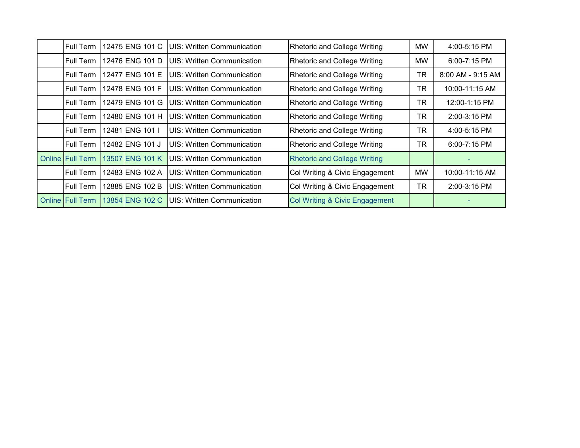| Full Term               | 12475 ENG 101 C  | UIS: Written Communication        | <b>Rhetoric and College Writing</b> | MW        | 4:00-5:15 PM      |
|-------------------------|------------------|-----------------------------------|-------------------------------------|-----------|-------------------|
| <b>Full Term</b>        | 12476 ENG 101 D  | UIS: Written Communication        | <b>Rhetoric and College Writing</b> | MW        | 6:00-7:15 PM      |
| Full Term               | 12477 IENG 101 E | UIS: Written Communication        | <b>Rhetoric and College Writing</b> | TR        | 8:00 AM - 9:15 AM |
| <b>Full Term</b>        | 12478 ENG 101 F  | UIS: Written Communication        | Rhetoric and College Writing        | <b>TR</b> | 10:00-11:15 AM    |
| <b>Full Term</b>        | 12479 ENG 101 G  | <b>UIS: Written Communication</b> | Rhetoric and College Writing        | TR        | 12:00-1:15 PM     |
| <b>Full Term</b>        | 12480 ENG 101 H  | <b>UIS: Written Communication</b> | <b>Rhetoric and College Writing</b> | <b>TR</b> | 2:00-3:15 PM      |
| <b>Full Term</b>        | 12481 IENG 101 I | <b>UIS: Written Communication</b> | <b>Rhetoric and College Writing</b> | TR        | 4:00-5:15 PM      |
| Full Term               | 12482 ENG 101 J  | <b>UIS: Written Communication</b> | <b>Rhetoric and College Writing</b> | TR        | 6:00-7:15 PM      |
| <b>Online Full Term</b> | 13507 ENG 101 K  | UIS: Written Communication        | <b>Rhetoric and College Writing</b> |           |                   |
| Full Term               | 12483 ENG 102 A  | UIS: Written Communication        | Col Writing & Civic Engagement      | MW        | 10:00-11:15 AM    |
| Full Term               | 12885 ENG 102 B  | UIS: Written Communication        | Col Writing & Civic Engagement      | <b>TR</b> | 2:00-3:15 PM      |
| <b>Online Full Term</b> | 13854 ENG 102 C  | <b>UIS: Written Communication</b> | Col Writing & Civic Engagement      |           |                   |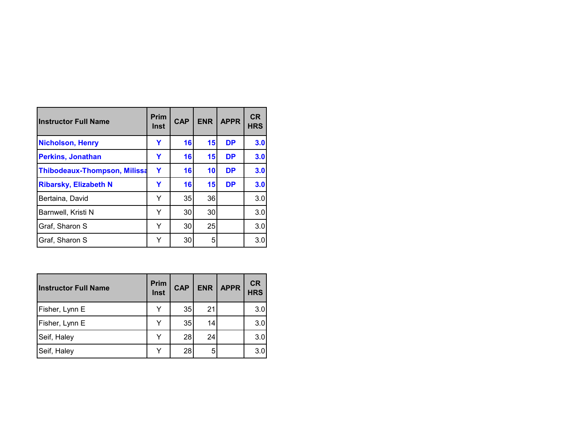| <b>Instructor Full Name</b>         | <b>Prim</b><br><b>Inst</b> | <b>CAP</b> | <b>ENR</b> | <b>APPR</b> | <b>CR</b><br><b>HRS</b> |
|-------------------------------------|----------------------------|------------|------------|-------------|-------------------------|
| <b>Nicholson, Henry</b>             | Y                          | 16         | 15         | <b>DP</b>   | 3.0                     |
| <b>Perkins, Jonathan</b>            | Y                          | 16         | 15         | <b>DP</b>   | 3.0                     |
| <b>Thibodeaux-Thompson, Milissa</b> | Y                          | 16         | 10         | <b>DP</b>   | 3.0                     |
| <b>Ribarsky, Elizabeth N</b>        | Y                          | 16         | 15         | <b>DP</b>   | 3.0                     |
| Bertaina, David                     | Y                          | 35         | 36         |             | 3.0                     |
| Barnwell, Kristi N                  | Y                          | 30         | 30         |             | 3.0                     |
| Graf, Sharon S                      | Y                          | 30         | 25         |             | 3.0                     |
| Graf, Sharon S                      | Y                          | 30         | 5          |             | 3.0                     |

| <b>Instructor Full Name</b> | Prim<br>Inst | <b>CAP</b> | <b>ENR</b> | APPR | <b>CR</b><br><b>HRS</b> |
|-----------------------------|--------------|------------|------------|------|-------------------------|
| Fisher, Lynn E              |              | 35         | 21         |      | 3.0                     |
| Fisher, Lynn E              |              | 35         | 14         |      | 3.0                     |
| Seif, Haley                 |              | 28         | 24         |      | 3.0                     |
| Seif, Haley                 |              | 28         | 5          |      | 3.0                     |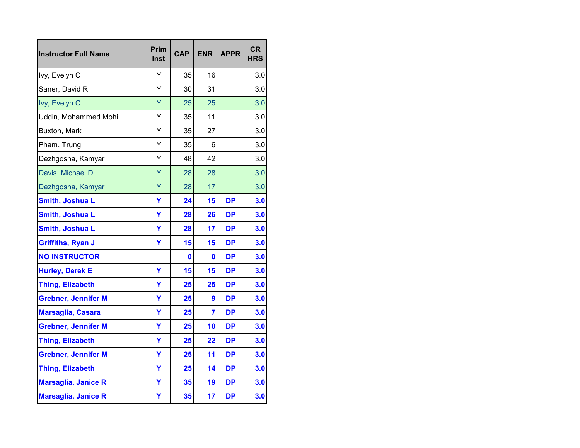| <b>Instructor Full Name</b> | Prim<br>Inst | <b>CAP</b> | <b>ENR</b>     | <b>APPR</b> | <b>CR</b><br><b>HRS</b> |
|-----------------------------|--------------|------------|----------------|-------------|-------------------------|
| Ivy, Evelyn C               | Y            | 35         | 16             |             | 3.0                     |
| Saner, David R              | Υ            | 30         | 31             |             | 3.0                     |
| Ivy, Evelyn C               | Ÿ            | 25         | 25             |             | 3.0                     |
| Uddin, Mohammed Mohi        | Y            | 35         | 11             |             | 3.0                     |
| Buxton, Mark                | Υ            | 35         | 27             |             | 3.0                     |
| Pham, Trung                 | Υ            | 35         | 6              |             | 3.0                     |
| Dezhgosha, Kamyar           | Y            | 48         | 42             |             | 3.0                     |
| Davis, Michael D            | Ÿ            | 28         | 28             |             | 3.0                     |
| Dezhgosha, Kamyar           | Ÿ            | 28         | 17             |             | 3.0                     |
| Smith, Joshua L             | Ÿ            | 24         | 15             | <b>DP</b>   | 3.0                     |
| <b>Smith, Joshua L</b>      | Y            | 28         | 26             | <b>DP</b>   | 3.0                     |
| <b>Smith, Joshua L</b>      | Y            | 28         | 17             | DP          | 3.0                     |
| <b>Griffiths, Ryan J</b>    | Ÿ            | 15         | 15             | DP          | 3.0                     |
| <b>NO INSTRUCTOR</b>        |              | 0          | 0              | <b>DP</b>   | 3.0                     |
| <b>Hurley, Derek E</b>      | Y            | 15         | 15             | <b>DP</b>   | 3.0                     |
| <b>Thing, Elizabeth</b>     | Ÿ            | 25         | 25             | <b>DP</b>   | 3.0                     |
| <b>Grebner, Jennifer M</b>  | Y            | 25         | 9              | DP          | 3.0                     |
| <b>Marsaglia, Casara</b>    | Ÿ            | 25         | $\overline{7}$ | <b>DP</b>   | 3.0                     |
| <b>Grebner, Jennifer M</b>  | Ÿ            | 25         | 10             | <b>DP</b>   | 3.0                     |
| <b>Thing, Elizabeth</b>     | Ÿ            | 25         | 22             | DP          | 3.0                     |
| <b>Grebner, Jennifer M</b>  | Ÿ            | 25         | 11             | <b>DP</b>   | 3.0                     |
| <b>Thing, Elizabeth</b>     | Ÿ            | 25         | 14             | <b>DP</b>   | 3.0                     |
| <b>Marsaglia, Janice R</b>  | Y            | 35         | 19             | <b>DP</b>   | 3.0                     |
| Marsaglia, Janice R         | Y            | 35         | 17             | <b>DP</b>   | 3.0                     |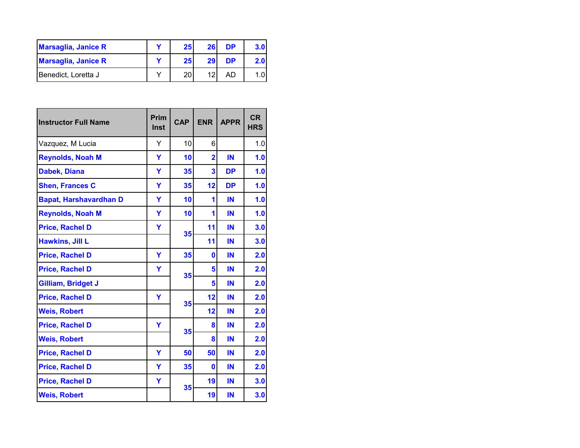| <b>Marsaglia, Janice R</b> | 25 <sub>l</sub> | 26 | <b>DP</b> | 3.01 |
|----------------------------|-----------------|----|-----------|------|
| <b>Marsaglia, Janice R</b> | 25              | 29 | <b>DP</b> | 2.0I |
| Benedict, Loretta J        | 20              | 12 | AD        |      |

| <b>Instructor Full Name</b>   | Prim<br>Inst | <b>CAP</b> | <b>ENR</b>     | <b>APPR</b> | <b>CR</b><br><b>HRS</b> |
|-------------------------------|--------------|------------|----------------|-------------|-------------------------|
| Vazquez, M Lucia              | Y            | 10         | 6              |             | 1.0                     |
| <b>Reynolds, Noah M</b>       | Y            | 10         | $\overline{2}$ | IN          | 1.0                     |
| Dabek, Diana                  | Ÿ            | 35         | 3              | <b>DP</b>   | 1.0                     |
| <b>Shen, Frances C</b>        | Υ            | 35         | 12             | <b>DP</b>   | 1.0                     |
| <b>Bapat, Harshavardhan D</b> | Y            | 10         | 1              | IN          | 1.0                     |
| <b>Reynolds, Noah M</b>       | Y            | 10         | 1              | IN          | 1.0                     |
| <b>Price, Rachel D</b>        | Y            |            | 11             | IN          | 3.0                     |
| <b>Hawkins, Jill L</b>        |              | 35         | 11             | IN          | 3.0                     |
| <b>Price, Rachel D</b>        | Ÿ            | 35         | 0              | IN          | 2.0                     |
| <b>Price, Rachel D</b>        | Y            | 35         | 5              | IN          | 2.0                     |
| <b>Gilliam, Bridget J</b>     |              |            | 5              | IN          | 2.0                     |
| <b>Price, Rachel D</b>        | Y            | 35         | 12             | IN          | 2.0                     |
| <b>Weis, Robert</b>           |              |            | 12             | IN          | 2.0                     |
| <b>Price, Rachel D</b>        | Y            | 35         | 8              | IN          | 2.0                     |
| <b>Weis, Robert</b>           |              |            | 8              | IN          | 2.0                     |
| <b>Price, Rachel D</b>        | Y            | 50         | 50             | IN          | 2.0                     |
| <b>Price, Rachel D</b>        | Y            | 35         | 0              | IN          | 2.0                     |
| <b>Price, Rachel D</b>        | Y            | 35         | 19             | IN          | 3.0                     |
| <b>Weis, Robert</b>           |              |            | 19             | IN          | 3.0                     |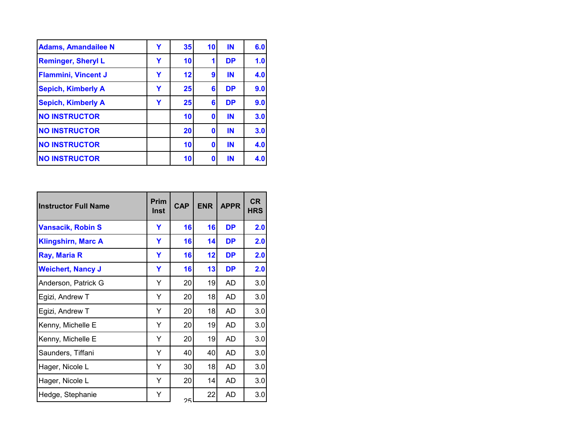| <b>Adams, Amandailee N</b> | Y | 35 | 10 | IN        | 6.0 |
|----------------------------|---|----|----|-----------|-----|
| <b>Reminger, Sheryl L</b>  | Y | 10 |    | <b>DP</b> | 1.0 |
| <b>Flammini, Vincent J</b> | Y | 12 | 9  | IN        | 4.0 |
| <b>Sepich, Kimberly A</b>  | Y | 25 | 6  | <b>DP</b> | 9.0 |
| <b>Sepich, Kimberly A</b>  | Y | 25 | 6  | <b>DP</b> | 9.0 |
| <b>NO INSTRUCTOR</b>       |   | 10 | 0  | IN        | 3.0 |
| <b>NO INSTRUCTOR</b>       |   | 20 | 0  | IN        | 3.0 |
| <b>NO INSTRUCTOR</b>       |   | 10 | O  | IN        | 4.0 |
| <b>NO INSTRUCTOR</b>       |   | 10 | Ω  | IN        | 4.0 |

| <b>Instructor Full Name</b> | <b>Prim</b><br><b>Inst</b> | <b>CAP</b> | <b>ENR</b> | <b>APPR</b> | <b>CR</b><br><b>HRS</b> |
|-----------------------------|----------------------------|------------|------------|-------------|-------------------------|
| <b>Vansacik, Robin S</b>    | Y                          | 16         | 16         | <b>DP</b>   | 2.0                     |
| <b>Klingshirn, Marc A</b>   | Υ                          | 16         | 14         | <b>DP</b>   | 2.0                     |
| Ray, Maria R                | Υ                          | 16         | 12         | <b>DP</b>   | 2.0                     |
| <b>Weichert, Nancy J</b>    | Υ                          | 16         | 13         | <b>DP</b>   | 2.0                     |
| Anderson, Patrick G         | Y                          | 20         | 19         | AD          | 3.0                     |
| Egizi, Andrew T             | Y                          | 20         | 18         | AD          | 3.0                     |
| Egizi, Andrew T             | Y                          | 20         | 18         | AD          | 3.0                     |
| Kenny, Michelle E           | Y                          | 20         | 19         | AD          | 3.0                     |
| Kenny, Michelle E           | Y                          | 20         | 19         | AD          | 3.0                     |
| Saunders, Tiffani           | Y                          | 40         | 40         | AD          | 3.0                     |
| Hager, Nicole L             | Y                          | 30         | 18         | AD          | 3.0                     |
| Hager, Nicole L             | Y                          | 20         | 14         | AD          | 3.0                     |
| Hedge, Stephanie            | Υ                          | つに         | 22         | AD          | 3.0                     |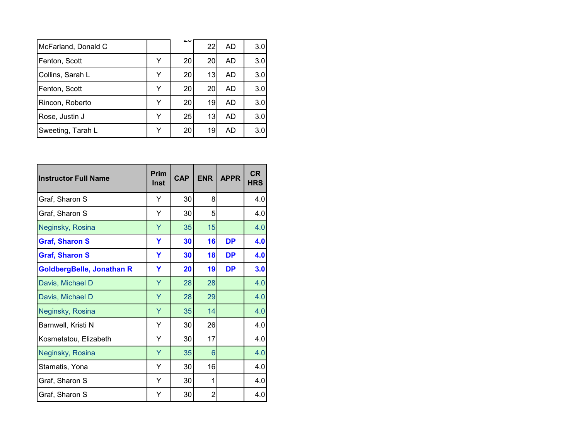| McFarland, Donald C |   | دے | 22 | AD.       | 3.0 |
|---------------------|---|----|----|-----------|-----|
| Fenton, Scott       | ۷ | 20 | 20 | <b>AD</b> | 3.0 |
| Collins, Sarah L    | v | 20 | 13 | AD        | 3.0 |
| Fenton, Scott       |   | 20 | 20 | AD        | 3.0 |
| Rincon, Roberto     |   | 20 | 19 | AD        | 3.0 |
| Rose, Justin J      | v | 25 | 13 | AD        | 3.0 |
| Sweeting, Tarah L   | v | 20 | 19 | AD        | 3.0 |

| <b>Instructor Full Name</b>      | Prim<br><b>Inst</b> | <b>CAP</b> | <b>ENR</b>     | <b>APPR</b> | <b>CR</b><br><b>HRS</b> |
|----------------------------------|---------------------|------------|----------------|-------------|-------------------------|
| Graf, Sharon S                   | Y                   | 30         | 8              |             | 4.0                     |
| Graf, Sharon S                   | Y                   | 30         | 5              |             | 4.0                     |
| Neginsky, Rosina                 | Y                   | 35         | 15             |             | 4.0                     |
| <b>Graf, Sharon S</b>            | Y                   | 30         | 16             | <b>DP</b>   | 4.0                     |
| <b>Graf, Sharon S</b>            | Y                   | 30         | 18             | <b>DP</b>   | 4.0                     |
| <b>GoldbergBelle, Jonathan R</b> | Y                   | 20         | 19             | <b>DP</b>   | 3.0                     |
| Davis, Michael D                 | Υ                   | 28         | 28             |             | 4.0                     |
| Davis, Michael D                 | Ÿ                   | 28         | 29             |             | 4.0                     |
| Neginsky, Rosina                 | Y                   | 35         | 14             |             | 4.0                     |
| Barnwell, Kristi N               | Y                   | 30         | 26             |             | 4.0                     |
| Kosmetatou, Elizabeth            | Υ                   | 30         | 17             |             | 4.0                     |
| Neginsky, Rosina                 | Ÿ                   | 35         | 6              |             | 4.0                     |
| Stamatis, Yona                   | Υ                   | 30         | 16             |             | 4.0                     |
| Graf, Sharon S                   | Y                   | 30         | 1              |             | 4.0                     |
| Graf, Sharon S                   | Υ                   | 30         | $\overline{2}$ |             | 4.0                     |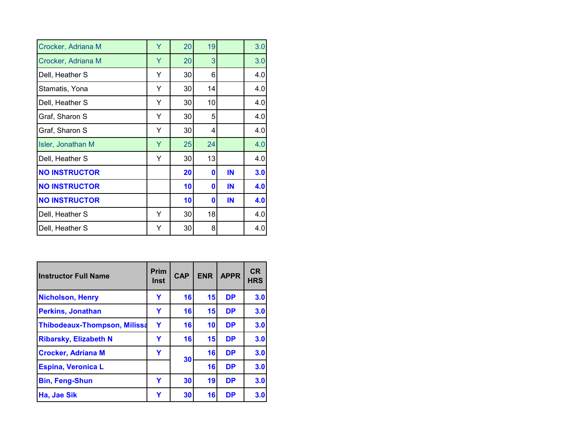| Crocker, Adriana M   | Ÿ | 20 | 19 |    | 3.0 |
|----------------------|---|----|----|----|-----|
| Crocker, Adriana M   | Ÿ | 20 | 3  |    | 3.0 |
| Dell, Heather S      | Y | 30 | 6  |    | 4.0 |
| Stamatis, Yona       | Y | 30 | 14 |    | 4.0 |
| Dell, Heather S      | Y | 30 | 10 |    | 4.0 |
| Graf, Sharon S       | Y | 30 | 5  |    | 4.0 |
| Graf, Sharon S       | Υ | 30 | 4  |    | 4.0 |
| Isler, Jonathan M    | Y | 25 | 24 |    | 4.0 |
| Dell, Heather S      | Y | 30 | 13 |    | 4.0 |
| <b>NO INSTRUCTOR</b> |   | 20 | 0  | IN | 3.0 |
| <b>NO INSTRUCTOR</b> |   | 10 | 0  | IN | 4.0 |
| <b>NO INSTRUCTOR</b> |   | 10 | 0  | IN | 4.0 |
| Dell, Heather S      | Y | 30 | 18 |    | 4.0 |
| Dell, Heather S      | Y | 30 | 8  |    | 4.0 |

| <b>Instructor Full Name</b>         | <b>Prim</b><br>Inst | <b>CAP</b> | <b>ENR</b>      | <b>APPR</b> | <b>CR</b><br><b>HRS</b> |
|-------------------------------------|---------------------|------------|-----------------|-------------|-------------------------|
| <b>Nicholson, Henry</b>             | Y                   | 16         | 15 <sup>1</sup> | <b>DP</b>   | 3.0                     |
| <b>Perkins, Jonathan</b>            | Y                   | 16         | 15              | <b>DP</b>   | 3.0                     |
| <b>Thibodeaux-Thompson, Milissa</b> | Y                   | 16         | 10              | <b>DP</b>   | 3.0                     |
| <b>Ribarsky, Elizabeth N</b>        | Y                   | 16         | 15              | <b>DP</b>   | 3.0                     |
| <b>Crocker, Adriana M</b>           | Y                   | 30         | 16              | <b>DP</b>   | 3.0                     |
| <b>Espina, Veronica L</b>           |                     |            | 16              | <b>DP</b>   | 3.0                     |
| <b>Bin, Feng-Shun</b>               | Y                   | 30         | 19              | <b>DP</b>   | 3.0                     |
| Ha, Jae Sik                         | Y                   | 30         | 16              | <b>DP</b>   | 3.0                     |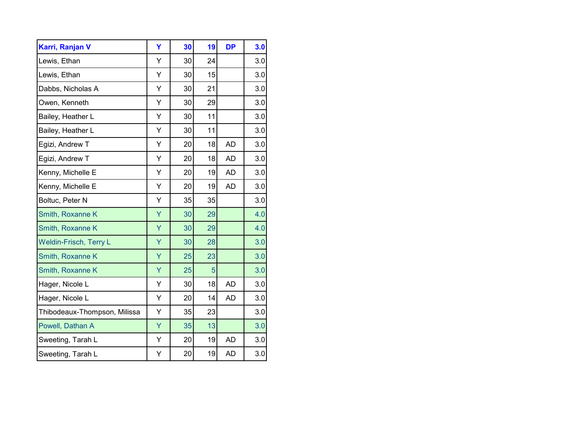| Karri, Ranjan V               | Ÿ | 30 | 19 | <b>DP</b> | 3.0 |
|-------------------------------|---|----|----|-----------|-----|
| Lewis, Ethan                  | Y | 30 | 24 |           | 3.0 |
| Lewis, Ethan                  | Υ | 30 | 15 |           | 3.0 |
| Dabbs, Nicholas A             | Y | 30 | 21 |           | 3.0 |
| Owen, Kenneth                 | Ý | 30 | 29 |           | 3.0 |
| Bailey, Heather L             | Y | 30 | 11 |           | 3.0 |
| Bailey, Heather L             | Y | 30 | 11 |           | 3.0 |
| Egizi, Andrew T               | Y | 20 | 18 | AD        | 3.0 |
| Egizi, Andrew T               | Υ | 20 | 18 | <b>AD</b> | 3.0 |
| Kenny, Michelle E             | Υ | 20 | 19 | AD        | 3.0 |
| Kenny, Michelle E             | Y | 20 | 19 | <b>AD</b> | 3.0 |
| Boltuc, Peter N               | Y | 35 | 35 |           | 3.0 |
| Smith, Roxanne K              | Ÿ | 30 | 29 |           | 4.0 |
| Smith, Roxanne K              | Ÿ | 30 | 29 |           | 4.0 |
| <b>Weldin-Frisch, Terry L</b> | Ÿ | 30 | 28 |           | 3.0 |
| Smith, Roxanne K              | Ÿ | 25 | 23 |           | 3.0 |
| Smith, Roxanne K              | Ÿ | 25 | 5  |           | 3.0 |
| Hager, Nicole L               | Υ | 30 | 18 | <b>AD</b> | 3.0 |
| Hager, Nicole L               | Υ | 20 | 14 | <b>AD</b> | 3.0 |
| Thibodeaux-Thompson, Milissa  | Y | 35 | 23 |           | 3.0 |
| Powell, Dathan A              | Ÿ | 35 | 13 |           | 3.0 |
| Sweeting, Tarah L             | Y | 20 | 19 | AD        | 3.0 |
| Sweeting, Tarah L             | Υ | 20 | 19 | <b>AD</b> | 3.0 |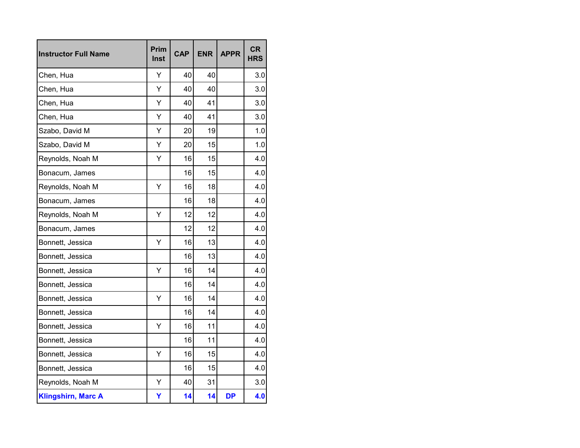| <b>Instructor Full Name</b> | Prim<br><b>Inst</b> | <b>CAP</b> | <b>ENR</b> | <b>APPR</b> | <b>CR</b><br><b>HRS</b> |
|-----------------------------|---------------------|------------|------------|-------------|-------------------------|
| Chen, Hua                   | Υ                   | 40         | 40         |             | 3.0                     |
| Chen, Hua                   | Υ                   | 40         | 40         |             | 3.0                     |
| Chen, Hua                   | Υ                   | 40         | 41         |             | 3.0                     |
| Chen, Hua                   | Y                   | 40         | 41         |             | 3.0                     |
| Szabo, David M              | Ý                   | 20         | 19         |             | 1.0                     |
| Szabo, David M              | Y                   | 20         | 15         |             | 1.0                     |
| Reynolds, Noah M            | Υ                   | 16         | 15         |             | 4.0                     |
| Bonacum, James              |                     | 16         | 15         |             | 4.0                     |
| Reynolds, Noah M            | Υ                   | 16         | 18         |             | 4.0                     |
| Bonacum, James              |                     | 16         | 18         |             | 4.0                     |
| Reynolds, Noah M            | Υ                   | 12         | 12         |             | 4.0                     |
| Bonacum, James              |                     | 12         | 12         |             | 4.0                     |
| Bonnett, Jessica            | Ý                   | 16         | 13         |             | 4.0                     |
| Bonnett, Jessica            |                     | 16         | 13         |             | 4.0                     |
| Bonnett, Jessica            | Υ                   | 16         | 14         |             | 4.0                     |
| Bonnett, Jessica            |                     | 16         | 14         |             | 4.0                     |
| Bonnett, Jessica            | Υ                   | 16         | 14         |             | 4.0                     |
| Bonnett, Jessica            |                     | 16         | 14         |             | 4.0                     |
| Bonnett, Jessica            | Y                   | 16         | 11         |             | 4.0                     |
| Bonnett, Jessica            |                     | 16         | 11         |             | 4.0                     |
| Bonnett, Jessica            | Ý                   | 16         | 15         |             | 4.0                     |
| Bonnett, Jessica            |                     | 16         | 15         |             | 4.0                     |
| Reynolds, Noah M            | Υ                   | 40         | 31         |             | 3.0                     |
| <b>Klingshirn, Marc A</b>   | Υ                   | 14         | 14         | <b>DP</b>   | 4.0                     |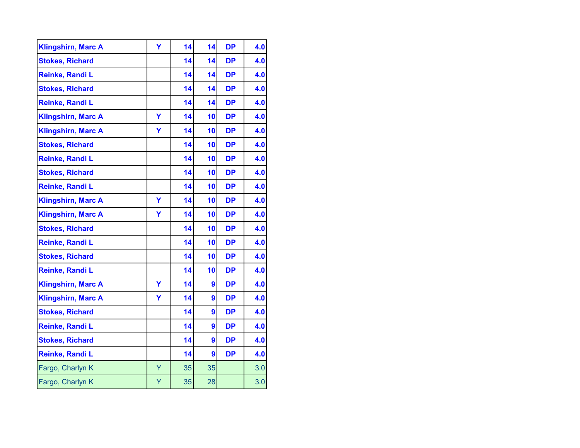| <b>Klingshirn, Marc A</b> | Y | 14 | 14 | <b>DP</b> | 4.0 |
|---------------------------|---|----|----|-----------|-----|
| <b>Stokes, Richard</b>    |   | 14 | 14 | <b>DP</b> | 4.0 |
| Reinke, Randi L           |   | 14 | 14 | <b>DP</b> | 4.0 |
| <b>Stokes, Richard</b>    |   | 14 | 14 | <b>DP</b> | 4.0 |
| Reinke, Randi L           |   | 14 | 14 | <b>DP</b> | 4.0 |
| <b>Klingshirn, Marc A</b> | Y | 14 | 10 | <b>DP</b> | 4.0 |
| <b>Klingshirn, Marc A</b> | Y | 14 | 10 | <b>DP</b> | 4.0 |
| <b>Stokes, Richard</b>    |   | 14 | 10 | <b>DP</b> | 4.0 |
| Reinke, Randi L           |   | 14 | 10 | <b>DP</b> | 4.0 |
| <b>Stokes, Richard</b>    |   | 14 | 10 | <b>DP</b> | 4.0 |
| Reinke, Randi L           |   | 14 | 10 | <b>DP</b> | 4.0 |
| <b>Klingshirn, Marc A</b> | Y | 14 | 10 | <b>DP</b> | 4.0 |
| <b>Klingshirn, Marc A</b> | Y | 14 | 10 | <b>DP</b> | 4.0 |
| <b>Stokes, Richard</b>    |   | 14 | 10 | <b>DP</b> | 4.0 |
| Reinke, Randi L           |   | 14 | 10 | <b>DP</b> | 4.0 |
| <b>Stokes, Richard</b>    |   | 14 | 10 | <b>DP</b> | 4.0 |
| Reinke, Randi L           |   | 14 | 10 | <b>DP</b> | 4.0 |
| <b>Klingshirn, Marc A</b> | Y | 14 | 9  | <b>DP</b> | 4.0 |
| <b>Klingshirn, Marc A</b> | Y | 14 | 9  | <b>DP</b> | 4.0 |
| <b>Stokes, Richard</b>    |   | 14 | 9  | <b>DP</b> | 4.0 |
| Reinke, Randi L           |   | 14 | 9  | <b>DP</b> | 4.0 |
| <b>Stokes, Richard</b>    |   | 14 | 9  | <b>DP</b> | 4.0 |
| Reinke, Randi L           |   | 14 | 9  | <b>DP</b> | 4.0 |
| Fargo, Charlyn K          | Y | 35 | 35 |           | 3.0 |
| Fargo, Charlyn K          | Υ | 35 | 28 |           | 3.0 |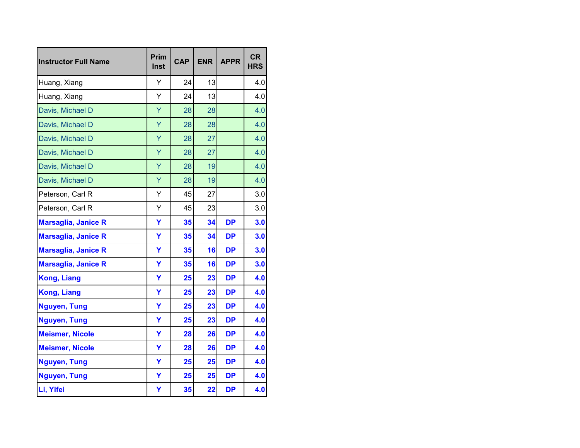| <b>Instructor Full Name</b> | Prim<br>Inst | <b>CAP</b> | <b>ENR</b> | <b>APPR</b> | <b>CR</b><br><b>HRS</b> |
|-----------------------------|--------------|------------|------------|-------------|-------------------------|
| Huang, Xiang                | Y            | 24         | 13         |             | 4.0                     |
| Huang, Xiang                | Y            | 24         | 13         |             | 4.0                     |
| Davis, Michael D            | Ÿ            | 28         | 28         |             | 4.0                     |
| Davis, Michael D            | Ÿ            | 28         | 28         |             | 4.0                     |
| Davis, Michael D            | Y            | 28         | 27         |             | 4.0                     |
| Davis, Michael D            | Y            | 28         | 27         |             | 4.0                     |
| Davis, Michael D            | Y            | 28         | 19         |             | 4.0                     |
| Davis, Michael D            | Ÿ            | 28         | 19         |             | 4.0                     |
| Peterson, Carl R            | Y            | 45         | 27         |             | 3.0                     |
| Peterson, Carl R            | Υ            | 45         | 23         |             | 3.0                     |
| <b>Marsaglia, Janice R</b>  | Y            | 35         | 34         | <b>DP</b>   | 3.0                     |
| <b>Marsaglia, Janice R</b>  | Y            | 35         | 34         | <b>DP</b>   | 3.0                     |
| <b>Marsaglia, Janice R</b>  | Y            | 35         | 16         | <b>DP</b>   | 3.0                     |
| <b>Marsaglia, Janice R</b>  | Ÿ            | 35         | 16         | <b>DP</b>   | 3.0                     |
| <b>Kong, Liang</b>          | Y            | 25         | 23         | <b>DP</b>   | 4.0                     |
| <b>Kong, Liang</b>          | Ÿ            | 25         | 23         | <b>DP</b>   | 4.0                     |
| <b>Nguyen, Tung</b>         | Y            | 25         | 23         | <b>DP</b>   | 4.0                     |
| <b>Nguyen, Tung</b>         | Y            | 25         | 23         | <b>DP</b>   | 4.0                     |
| <b>Meismer, Nicole</b>      | Y            | 28         | 26         | <b>DP</b>   | 4.0                     |
| <b>Meismer, Nicole</b>      | Ÿ            | 28         | 26         | <b>DP</b>   | 4.0                     |
| <b>Nguyen, Tung</b>         | Ÿ            | 25         | 25         | <b>DP</b>   | 4.0                     |
| <b>Nguyen, Tung</b>         | Ÿ            | 25         | 25         | <b>DP</b>   | 4.0                     |
| Li, Yifei                   | Υ            | 35         | 22         | <b>DP</b>   | 4.0                     |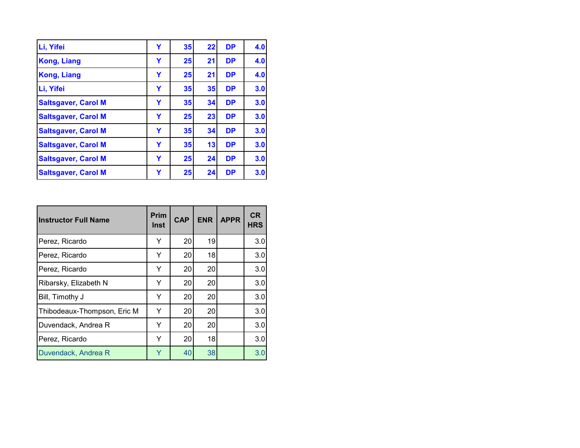| Li, Yifei                  | Υ | 35 | 22 | <b>DP</b> | 4.0 |
|----------------------------|---|----|----|-----------|-----|
| <b>Kong, Liang</b>         | Y | 25 | 21 | <b>DP</b> | 4.0 |
| <b>Kong, Liang</b>         | Υ | 25 | 21 | <b>DP</b> | 4.0 |
| Li, Yifei                  | Y | 35 | 35 | <b>DP</b> | 3.0 |
| <b>Saltsgaver, Carol M</b> | Υ | 35 | 34 | <b>DP</b> | 3.0 |
| <b>Saltsgaver, Carol M</b> | Y | 25 | 23 | <b>DP</b> | 3.0 |
| <b>Saltsgaver, Carol M</b> | Y | 35 | 34 | <b>DP</b> | 3.0 |
| <b>Saltsgaver, Carol M</b> | Y | 35 | 13 | <b>DP</b> | 3.0 |
| <b>Saltsgaver, Carol M</b> | Y | 25 | 24 | <b>DP</b> | 3.0 |
| <b>Saltsgaver, Carol M</b> | Y | 25 | 24 | <b>DP</b> | 3.0 |

| <b>Instructor Full Name</b> | <b>Prim</b><br>Inst | <b>CAP</b> | <b>ENR</b> | <b>APPR</b> | <b>CR</b><br><b>HRS</b> |
|-----------------------------|---------------------|------------|------------|-------------|-------------------------|
| Perez, Ricardo              | Y                   | 20         | 19         |             | 3.0                     |
| Perez, Ricardo              | Y                   | 20         | 18         |             | 3.0                     |
| Perez, Ricardo              | Y                   | 20         | 20         |             | 3.0                     |
| Ribarsky, Elizabeth N       | Y                   | 20         | 20         |             | 3.0                     |
| Bill, Timothy J             | Y                   | 20         | 20         |             | 3.0                     |
| Thibodeaux-Thompson, Eric M | Y                   | 20         | 20         |             | 3.0                     |
| Duvendack, Andrea R         | Y                   | 20         | 20         |             | 3.0                     |
| Perez, Ricardo              | Y                   | 20         | 18         |             | 3.0                     |
| Duvendack, Andrea R         | Y                   | 40         | 38         |             | 3.0                     |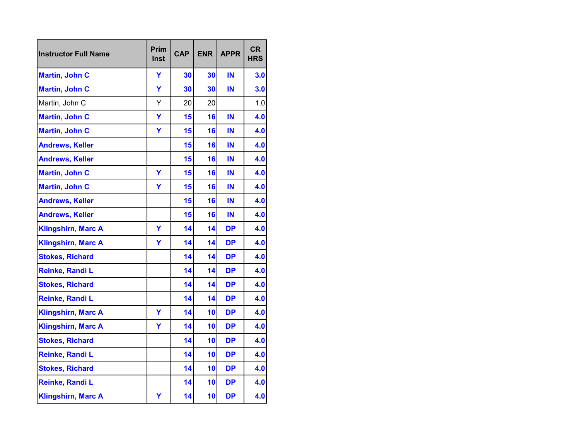| <b>Instructor Full Name</b> | Prim<br>Inst | <b>CAP</b> | <b>ENR</b> | <b>APPR</b> | <b>CR</b><br><b>HRS</b> |
|-----------------------------|--------------|------------|------------|-------------|-------------------------|
| <b>Martin, John C</b>       | Y            | 30         | 30         | IN          | 3.0                     |
| <b>Martin, John C</b>       | Ÿ            | 30         | 30         | IN          | 3.0                     |
| Martin, John C              | Υ            | 20         | 20         |             | 1.0                     |
| <b>Martin, John C</b>       | Y            | 15         | 16         | IN          | 4.0                     |
| <b>Martin, John C</b>       | Ÿ            | 15         | 16         | ΙN          | 4.0                     |
| <b>Andrews, Keller</b>      |              | 15         | 16         | IN          | 4.0                     |
| <b>Andrews, Keller</b>      |              | 15         | 16         | IN          | 4.0                     |
| <b>Martin, John C</b>       | Ÿ            | 15         | 16         | IN          | 4.0                     |
| <b>Martin, John C</b>       | Ÿ            | 15         | 16         | IN          | 4.0                     |
| <b>Andrews, Keller</b>      |              | 15         | 16         | ΙN          | 4.0                     |
| <b>Andrews, Keller</b>      |              | 15         | 16         | IN          | 4.0                     |
| <b>Klingshirn, Marc A</b>   | Y            | 14         | 14         | DP          | 4.0                     |
| <b>Klingshirn, Marc A</b>   | Y            | 14         | 14         | <b>DP</b>   | 4.0                     |
| <b>Stokes, Richard</b>      |              | 14         | 14         | <b>DP</b>   | 4.0                     |
| Reinke, Randi L             |              | 14         | 14         | <b>DP</b>   | 4.0                     |
| <b>Stokes, Richard</b>      |              | 14         | 14         | <b>DP</b>   | 4.0                     |
| Reinke, Randi L             |              | 14         | 14         | <b>DP</b>   | 4.0                     |
| <b>Klingshirn, Marc A</b>   | Y            | 14         | 10         | DP          | 4.0                     |
| <b>Klingshirn, Marc A</b>   | Y            | 14         | 10         | <b>DP</b>   | 4.0                     |
| <b>Stokes, Richard</b>      |              | 14         | 10         | DP          | 4.0                     |
| Reinke, Randi L             |              | 14         | 10         | <b>DP</b>   | 4.0                     |
| <b>Stokes, Richard</b>      |              | 14         | 10         | <b>DP</b>   | 4.0                     |
| Reinke, Randi L             |              | 14         | 10         | <b>DP</b>   | 4.0                     |
| <b>Klingshirn, Marc A</b>   | Υ            | 14         | 10         | <b>DP</b>   | 4.0                     |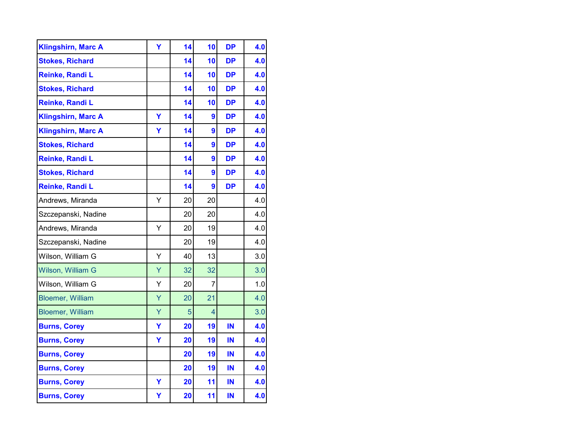| <b>Klingshirn, Marc A</b> | Y | 14 | 10 | <b>DP</b> | 4.0 |
|---------------------------|---|----|----|-----------|-----|
| <b>Stokes, Richard</b>    |   | 14 | 10 | <b>DP</b> | 4.0 |
| Reinke, Randi L           |   | 14 | 10 | <b>DP</b> | 4.0 |
| <b>Stokes, Richard</b>    |   | 14 | 10 | <b>DP</b> | 4.0 |
| Reinke, Randi L           |   | 14 | 10 | <b>DP</b> | 4.0 |
| <b>Klingshirn, Marc A</b> | Y | 14 | 9  | <b>DP</b> | 4.0 |
| <b>Klingshirn, Marc A</b> | Ÿ | 14 | 9  | <b>DP</b> | 4.0 |
| <b>Stokes, Richard</b>    |   | 14 | 9  | <b>DP</b> | 4.0 |
| Reinke, Randi L           |   | 14 | 9  | <b>DP</b> | 4.0 |
| <b>Stokes, Richard</b>    |   | 14 | 9  | <b>DP</b> | 4.0 |
| Reinke, Randi L           |   | 14 | 9  | <b>DP</b> | 4.0 |
| Andrews, Miranda          | Y | 20 | 20 |           | 4.0 |
| Szczepanski, Nadine       |   | 20 | 20 |           | 4.0 |
| Andrews, Miranda          | Y | 20 | 19 |           | 4.0 |
| Szczepanski, Nadine       |   | 20 | 19 |           | 4.0 |
| Wilson, William G         | Y | 40 | 13 |           | 3.0 |
| Wilson, William G         | Y | 32 | 32 |           | 3.0 |
| Wilson, William G         | Υ | 20 | 7  |           | 1.0 |
| <b>Bloemer, William</b>   | Ÿ | 20 | 21 |           | 4.0 |
| <b>Bloemer, William</b>   | Ÿ | 5  | 4  |           | 3.0 |
| <b>Burns, Corey</b>       | Y | 20 | 19 | IN        | 4.0 |
| <b>Burns, Corey</b>       | Y | 20 | 19 | IN        | 4.0 |
| <b>Burns, Corey</b>       |   | 20 | 19 | IN        | 4.0 |
| <b>Burns, Corey</b>       |   | 20 | 19 | IN        | 4.0 |
| <b>Burns, Corey</b>       | Y | 20 | 11 | IN        | 4.0 |
| <b>Burns, Corey</b>       | Υ | 20 | 11 | IN        | 4.0 |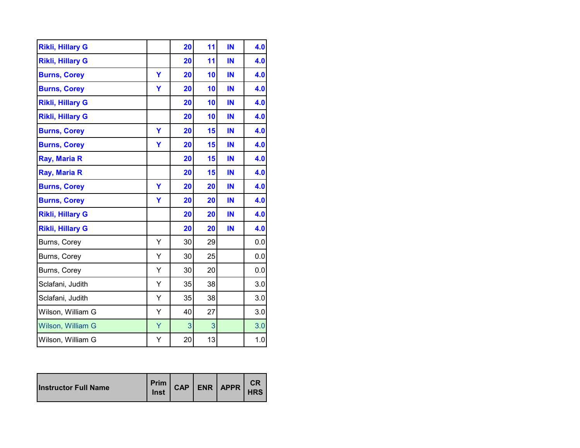| <b>Rikli, Hillary G</b> |   | 20 | 11 | IN | 4.0 |
|-------------------------|---|----|----|----|-----|
| <b>Rikli, Hillary G</b> |   | 20 | 11 | IN | 4.0 |
| <b>Burns, Corey</b>     | Ÿ | 20 | 10 | IN | 4.0 |
| <b>Burns, Corey</b>     | Y | 20 | 10 | IN | 4.0 |
| <b>Rikli, Hillary G</b> |   | 20 | 10 | IN | 4.0 |
| <b>Rikli, Hillary G</b> |   | 20 | 10 | IN | 4.0 |
| <b>Burns, Corey</b>     | Ÿ | 20 | 15 | IN | 4.0 |
| <b>Burns, Corey</b>     | Y | 20 | 15 | IN | 4.0 |
| Ray, Maria R            |   | 20 | 15 | IN | 4.0 |
| Ray, Maria R            |   | 20 | 15 | IN | 4.0 |
| <b>Burns, Corey</b>     | Ÿ | 20 | 20 | IN | 4.0 |
| <b>Burns, Corey</b>     | Y | 20 | 20 | IN | 4.0 |
| <b>Rikli, Hillary G</b> |   | 20 | 20 | IN | 4.0 |
| <b>Rikli, Hillary G</b> |   | 20 | 20 | IN | 4.0 |
| Burns, Corey            | Υ | 30 | 29 |    | 0.0 |
| Burns, Corey            | Y | 30 | 25 |    | 0.0 |
| Burns, Corey            | Υ | 30 | 20 |    | 0.0 |
| Sclafani, Judith        | Υ | 35 | 38 |    | 3.0 |
| Sclafani, Judith        | Υ | 35 | 38 |    | 3.0 |
| Wilson, William G       | Υ | 40 | 27 |    | 3.0 |
| Wilson, William G       | Ÿ | 3  | 3  |    | 3.0 |
| Wilson, William G       | Υ | 20 | 13 |    | 1.0 |

| <b>Instructor Full Name</b> | Inst |  |  | Prim CAP ENR APPR | СR<br><b>HRS</b> |
|-----------------------------|------|--|--|-------------------|------------------|
|-----------------------------|------|--|--|-------------------|------------------|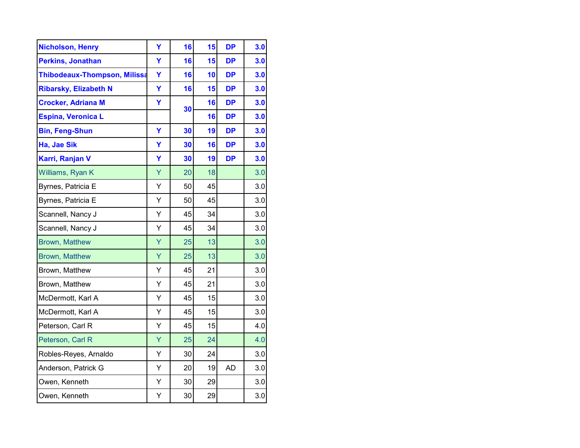| <b>Nicholson, Henry</b>             | Y | 16 | 15 | <b>DP</b> | 3.0 |
|-------------------------------------|---|----|----|-----------|-----|
| <b>Perkins, Jonathan</b>            | Ÿ | 16 | 15 | <b>DP</b> | 3.0 |
| <b>Thibodeaux-Thompson, Milissa</b> | Ÿ | 16 | 10 | <b>DP</b> | 3.0 |
| <b>Ribarsky, Elizabeth N</b>        | Y | 16 | 15 | <b>DP</b> | 3.0 |
| <b>Crocker, Adriana M</b>           | Ÿ | 30 | 16 | <b>DP</b> | 3.0 |
| <b>Espina, Veronica L</b>           |   |    | 16 | <b>DP</b> | 3.0 |
| <b>Bin, Feng-Shun</b>               | Ÿ | 30 | 19 | <b>DP</b> | 3.0 |
| Ha, Jae Sik                         | Y | 30 | 16 | <b>DP</b> | 3.0 |
| Karri, Ranjan V                     | Y | 30 | 19 | <b>DP</b> | 3.0 |
| Williams, Ryan K                    | Ÿ | 20 | 18 |           | 3.0 |
| Byrnes, Patricia E                  | Υ | 50 | 45 |           | 3.0 |
| Byrnes, Patricia E                  | Υ | 50 | 45 |           | 3.0 |
| Scannell, Nancy J                   | Υ | 45 | 34 |           | 3.0 |
| Scannell, Nancy J                   | Ÿ | 45 | 34 |           | 3.0 |
| <b>Brown, Matthew</b>               | Ÿ | 25 | 13 |           | 3.0 |
| <b>Brown, Matthew</b>               | Ÿ | 25 | 13 |           | 3.0 |
| Brown, Matthew                      | Υ | 45 | 21 |           | 3.0 |
| Brown, Matthew                      | Υ | 45 | 21 |           | 3.0 |
| McDermott, Karl A                   | Υ | 45 | 15 |           | 3.0 |
| McDermott, Karl A                   | Y | 45 | 15 |           | 3.0 |
| Peterson, Carl R                    | Υ | 45 | 15 |           | 4.0 |
| Peterson, Carl R                    | Ÿ | 25 | 24 |           | 4.0 |
| Robles-Reyes, Arnaldo               | Υ | 30 | 24 |           | 3.0 |
| Anderson, Patrick G                 | Υ | 20 | 19 | <b>AD</b> | 3.0 |
| Owen, Kenneth                       | Υ | 30 | 29 |           | 3.0 |
| Owen, Kenneth                       | Υ | 30 | 29 |           | 3.0 |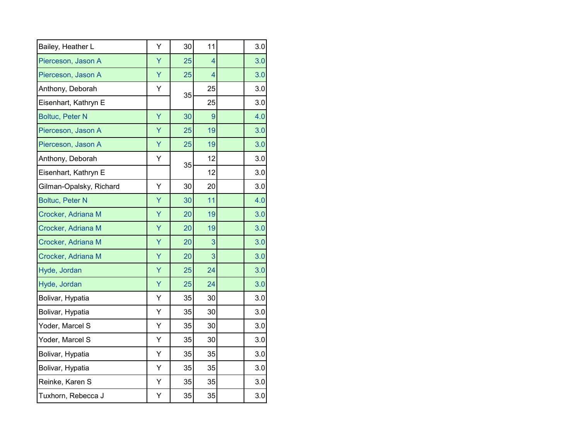| Bailey, Heather L       | Υ | 30 | 11 | 3.0 |
|-------------------------|---|----|----|-----|
| Pierceson, Jason A      | Ÿ | 25 | 4  | 3.0 |
| Pierceson, Jason A      | Ÿ | 25 | 4  | 3.0 |
| Anthony, Deborah        | Υ | 35 | 25 | 3.0 |
| Eisenhart, Kathryn E    |   |    | 25 | 3.0 |
| <b>Boltuc, Peter N</b>  | Ÿ | 30 | 9  | 4.0 |
| Pierceson, Jason A      | Ÿ | 25 | 19 | 3.0 |
| Pierceson, Jason A      | Ÿ | 25 | 19 | 3.0 |
| Anthony, Deborah        | Υ | 35 | 12 | 3.0 |
| Eisenhart, Kathryn E    |   |    | 12 | 3.0 |
| Gilman-Opalsky, Richard | Υ | 30 | 20 | 3.0 |
| <b>Boltuc, Peter N</b>  | Ÿ | 30 | 11 | 4.0 |
| Crocker, Adriana M      | Y | 20 | 19 | 3.0 |
| Crocker, Adriana M      | Ÿ | 20 | 19 | 3.0 |
| Crocker, Adriana M      | Ÿ | 20 | 3  | 3.0 |
| Crocker, Adriana M      | Ÿ | 20 | 3  | 3.0 |
| Hyde, Jordan            | Ÿ | 25 | 24 | 3.0 |
| Hyde, Jordan            | Ÿ | 25 | 24 | 3.0 |
| Bolivar, Hypatia        | Υ | 35 | 30 | 3.0 |
| Bolivar, Hypatia        | Υ | 35 | 30 | 3.0 |
| Yoder, Marcel S         | Υ | 35 | 30 | 3.0 |
| Yoder, Marcel S         | Υ | 35 | 30 | 3.0 |
| Bolivar, Hypatia        | Y | 35 | 35 | 3.0 |
| Bolivar, Hypatia        | Y | 35 | 35 | 3.0 |
| Reinke, Karen S         | Υ | 35 | 35 | 3.0 |
| Tuxhorn, Rebecca J      | Y | 35 | 35 | 3.0 |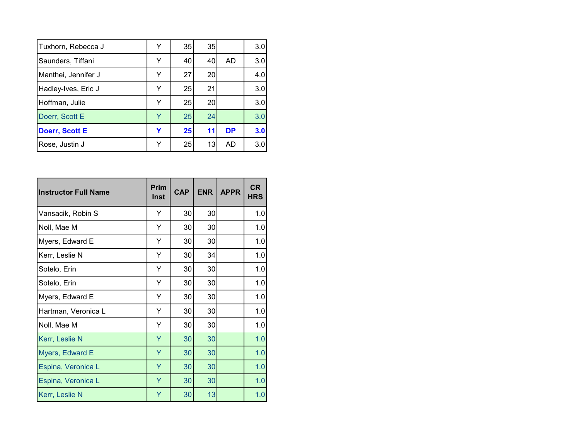| Tuxhorn, Rebecca J    | Y | 35 | 35 |           | 3.0 |
|-----------------------|---|----|----|-----------|-----|
| Saunders, Tiffani     | Y | 40 | 40 | AD.       | 3.0 |
| Manthei, Jennifer J   | v | 27 | 20 |           | 4.0 |
| Hadley-Ives, Eric J   | v | 25 | 21 |           | 3.0 |
| Hoffman, Julie        | Y | 25 | 20 |           | 3.0 |
| Doerr, Scott E        | v | 25 | 24 |           | 3.0 |
| <b>Doerr, Scott E</b> | Y | 25 | 11 | <b>DP</b> | 3.0 |
| Rose, Justin J        |   | 25 | 13 | AD        | 3.0 |

| <b>Instructor Full Name</b> | Prim<br>Inst | <b>CAP</b> | <b>ENR</b> | <b>APPR</b> | <b>CR</b><br><b>HRS</b> |
|-----------------------------|--------------|------------|------------|-------------|-------------------------|
| Vansacik, Robin S           | Y            | 30         | 30         |             | 1.0                     |
| Noll, Mae M                 | Υ            | 30         | 30         |             | 1.0                     |
| Myers, Edward E             | Y            | 30         | 30         |             | 1.0                     |
| Kerr, Leslie N              | Υ            | 30         | 34         |             | 1.0                     |
| Sotelo, Erin                | Υ            | 30         | 30         |             | 1.0                     |
| Sotelo, Erin                | Y            | 30         | 30         |             | 1.0                     |
| Myers, Edward E             | Υ            | 30         | 30         |             | 1.0                     |
| Hartman, Veronica L         | Y            | 30         | 30         |             | 1.0                     |
| Noll, Mae M                 | Y            | 30         | 30         |             | 1.0                     |
| Kerr, Leslie N              | Ÿ            | 30         | 30         |             | 1.0                     |
| Myers, Edward E             | Y            | 30         | 30         |             | 1.0                     |
| Espina, Veronica L          | Y            | 30         | 30         |             | 1.0                     |
| Espina, Veronica L          | Y            | 30         | 30         |             | 1.0                     |
| Kerr, Leslie N              | Y            | 30         | 13         |             | 1.0                     |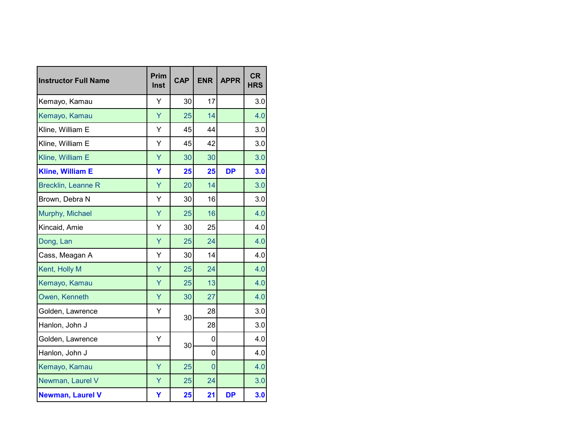| <b>Instructor Full Name</b> | Prim<br><b>Inst</b> | <b>CAP</b> | <b>ENR</b>     | <b>APPR</b> | <b>CR</b><br><b>HRS</b> |
|-----------------------------|---------------------|------------|----------------|-------------|-------------------------|
| Kemayo, Kamau               | Y                   | 30         | 17             |             | 3.0                     |
| Kemayo, Kamau               | Y                   | 25         | 14             |             | 4.0                     |
| Kline, William E            | Y                   | 45         | 44             |             | 3.0                     |
| Kline, William E            | Y                   | 45         | 42             |             | 3.0                     |
| Kline, William E            | Y                   | 30         | 30             |             | 3.0                     |
| <b>Kline, William E</b>     | Y                   | 25         | 25             | <b>DP</b>   | 3.0                     |
| <b>Brecklin, Leanne R</b>   | Y                   | 20         | 14             |             | 3.0                     |
| Brown, Debra N              | Y                   | 30         | 16             |             | 3.0                     |
| Murphy, Michael             | Ÿ                   | 25         | 16             |             | 4.0                     |
| Kincaid, Amie               | Y                   | 30         | 25             |             | 4.0                     |
| Dong, Lan                   | Ÿ                   | 25         | 24             |             | 4.0                     |
| Cass, Meagan A              | Y                   | 30         | 14             |             | 4.0                     |
| Kent, Holly M               | Y                   | 25         | 24             |             | 4.0                     |
| Kemayo, Kamau               | Y                   | 25         | 13             |             | 4.0                     |
| Owen, Kenneth               | Y                   | 30         | 27             |             | 4.0                     |
| Golden, Lawrence            | Υ                   | 30         | 28             |             | 3.0                     |
| Hanlon, John J              |                     |            | 28             |             | 3.0                     |
| Golden, Lawrence            | Y                   |            | 0              |             | 4.0                     |
| Hanlon, John J              |                     | 30         | 0              |             | 4.0                     |
| Kemayo, Kamau               | Ÿ                   | 25         | $\overline{0}$ |             | 4.0                     |
| Newman, Laurel V            | Y                   | 25         | 24             |             | 3.0                     |
| <b>Newman, Laurel V</b>     | Y                   | 25         | 21             | <b>DP</b>   | 3.0                     |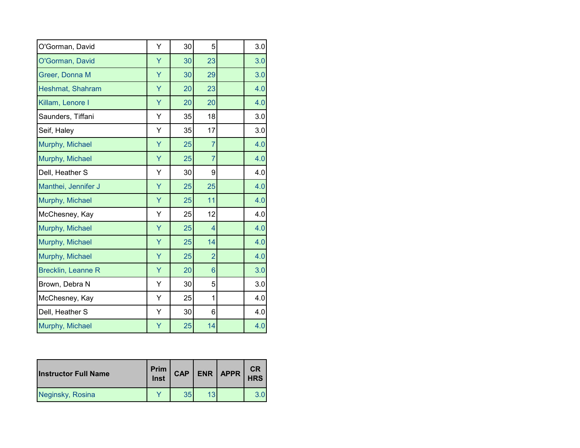| O'Gorman, David           | Υ | 30 | 5              | 3.0 |
|---------------------------|---|----|----------------|-----|
| O'Gorman, David           | Ÿ | 30 | 23             | 3.0 |
| Greer, Donna M            | Y | 30 | 29             | 3.0 |
| Heshmat, Shahram          | Y | 20 | 23             | 4.0 |
| Killam, Lenore I          | Y | 20 | 20             | 4.0 |
| Saunders, Tiffani         | Υ | 35 | 18             | 3.0 |
| Seif, Haley               | Υ | 35 | 17             | 3.0 |
| Murphy, Michael           | Ÿ | 25 | $\overline{7}$ | 4.0 |
| Murphy, Michael           | Ÿ | 25 | $\overline{7}$ | 4.0 |
| Dell, Heather S           | Υ | 30 | 9              | 4.0 |
| Manthei, Jennifer J       | Ÿ | 25 | 25             | 4.0 |
| Murphy, Michael           | Ÿ | 25 | 11             | 4.0 |
| McChesney, Kay            | Υ | 25 | 12             | 4.0 |
| Murphy, Michael           | Ÿ | 25 | $\overline{4}$ | 4.0 |
| Murphy, Michael           | Y | 25 | 14             | 4.0 |
| Murphy, Michael           | Y | 25 | $\overline{2}$ | 4.0 |
| <b>Brecklin, Leanne R</b> | Y | 20 | 6              | 3.0 |
| Brown, Debra N            | Υ | 30 | 5              | 3.0 |
| McChesney, Kay            | Υ | 25 | 1              | 4.0 |
| Dell, Heather S           | Υ | 30 | 6              | 4.0 |
| Murphy, Michael           | Ÿ | 25 | 14             | 4.0 |

| <b>Instructor Full Name</b> | Prim<br>Inst | <b>CAP</b> |    | ENR   APPR | CR<br><b>HRS</b> |
|-----------------------------|--------------|------------|----|------------|------------------|
| Neginsky, Rosina            |              | 35         | 13 |            |                  |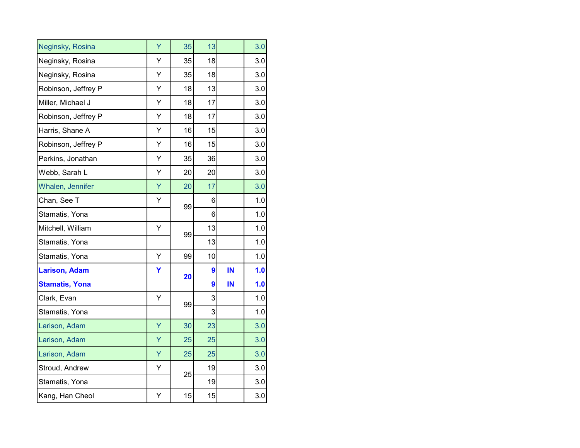| Neginsky, Rosina      | Ÿ | 35 | 13 |    | 3.0 |
|-----------------------|---|----|----|----|-----|
| Neginsky, Rosina      | Υ | 35 | 18 |    | 3.0 |
| Neginsky, Rosina      | Υ | 35 | 18 |    | 3.0 |
| Robinson, Jeffrey P   | Υ | 18 | 13 |    | 3.0 |
| Miller, Michael J     | Υ | 18 | 17 |    | 3.0 |
| Robinson, Jeffrey P   | Υ | 18 | 17 |    | 3.0 |
| Harris, Shane A       | Υ | 16 | 15 |    | 3.0 |
| Robinson, Jeffrey P   | Y | 16 | 15 |    | 3.0 |
| Perkins, Jonathan     | Υ | 35 | 36 |    | 3.0 |
| Webb, Sarah L         | Υ | 20 | 20 |    | 3.0 |
| Whalen, Jennifer      | Y | 20 | 17 |    | 3.0 |
| Chan, See T           | Υ |    | 6  |    | 1.0 |
| Stamatis, Yona        |   | 99 | 6  |    | 1.0 |
| Mitchell, William     | Υ | 99 | 13 |    | 1.0 |
| Stamatis, Yona        |   |    | 13 |    | 1.0 |
| Stamatis, Yona        | Y | 99 | 10 |    | 1.0 |
| <b>Larison, Adam</b>  | Υ | 20 | 9  | IN | 1.0 |
| <b>Stamatis, Yona</b> |   |    | 9  | IN | 1.0 |
| Clark, Evan           | Υ | 99 | 3  |    | 1.0 |
| Stamatis, Yona        |   |    | 3  |    | 1.0 |
| Larison, Adam         | Ÿ | 30 | 23 |    | 3.0 |
| Larison, Adam         | Ÿ | 25 | 25 |    | 3.0 |
| Larison, Adam         | Ÿ | 25 | 25 |    | 3.0 |
| Stroud, Andrew        | Υ | 25 | 19 |    | 3.0 |
| Stamatis, Yona        |   |    | 19 |    | 3.0 |
| Kang, Han Cheol       | Υ | 15 | 15 |    | 3.0 |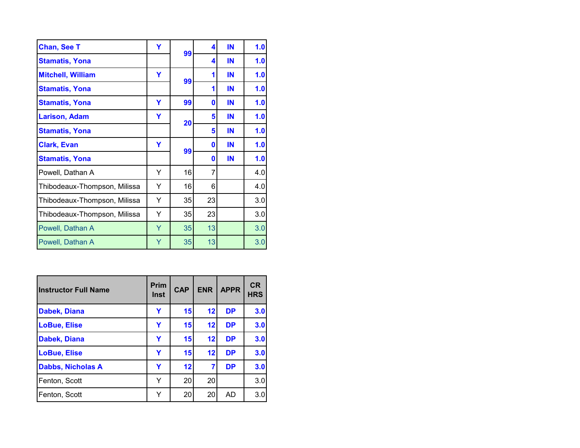| <b>Chan, See T</b>           | Y | 99 | 4  | IN | 1.0 |
|------------------------------|---|----|----|----|-----|
| <b>Stamatis, Yona</b>        |   |    | 4  | IN | 1.0 |
| <b>Mitchell, William</b>     | Y | 99 | 1  | IN | 1.0 |
| <b>Stamatis, Yona</b>        |   |    | 1  | IN | 1.0 |
| <b>Stamatis, Yona</b>        | Y | 99 | 0  | IN | 1.0 |
| <b>Larison, Adam</b>         | Υ | 20 | 5  | IN | 1.0 |
| <b>Stamatis, Yona</b>        |   |    | 5  | IN | 1.0 |
| <b>Clark, Evan</b>           | Y | 99 | 0  | IN | 1.0 |
| <b>Stamatis, Yona</b>        |   |    | 0  | IN | 1.0 |
| Powell, Dathan A             | Y | 16 | 7  |    | 4.0 |
| Thibodeaux-Thompson, Milissa | Y | 16 | 6  |    | 4.0 |
| Thibodeaux-Thompson, Milissa | Υ | 35 | 23 |    | 3.0 |
| Thibodeaux-Thompson, Milissa | Y | 35 | 23 |    | 3.0 |
| Powell, Dathan A             | Υ | 35 | 13 |    | 3.0 |
| Powell, Dathan A             | Y | 35 | 13 |    | 3.0 |

| <b>Instructor Full Name</b> | <b>Prim</b><br><b>Inst</b> | <b>CAP</b> | <b>ENR</b> | <b>APPR</b> | <b>CR</b><br><b>HRS</b> |
|-----------------------------|----------------------------|------------|------------|-------------|-------------------------|
| Dabek, Diana                | Y                          | 15         | 12         | <b>DP</b>   | 3.0                     |
| <b>LoBue, Elise</b>         | Y                          | 15         | 12         | <b>DP</b>   | 3.0                     |
| Dabek, Diana                | Y                          | 15         | 12         | <b>DP</b>   | 3.0                     |
| <b>LoBue, Elise</b>         | Y                          | 15         | 12         | <b>DP</b>   | 3.0                     |
| <b>Dabbs, Nicholas A</b>    | Y                          | 12         |            | <b>DP</b>   | 3.0                     |
| Fenton, Scott               | Y                          | 20         | 20         |             | 3.0                     |
| Fenton, Scott               | Y                          | 20         | 20         | AD          | 3.0                     |